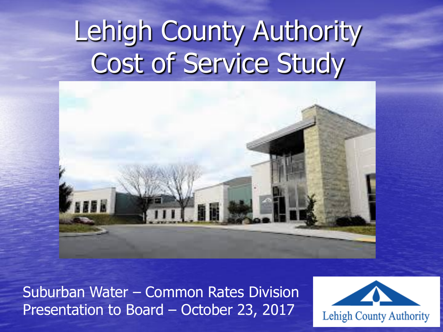# Lehigh County Authority Cost of Service Study



Suburban Water – Common Rates Division Presentation to Board – October 23, 2017

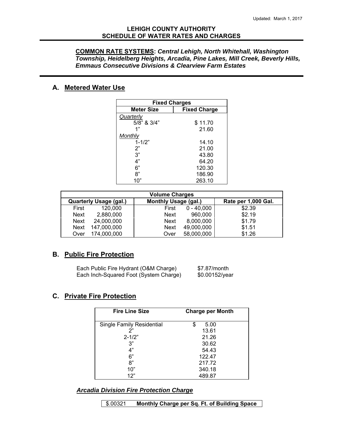### **LEHIGH COUNTY AUTHORITY SCHEDULE OF WATER RATES AND CHARGES**

#### **COMMON RATE SYSTEMS:** *Central Lehigh, North Whitehall, Washington Township, Heidelberg Heights, Arcadia, Pine Lakes, Mill Creek, Beverly Hills, Emmaus Consecutive Divisions & Clearview Farm Estates*

### **A. Metered Water Use**

| <b>Fixed Charges</b> |                     |  |  |  |  |  |  |  |  |
|----------------------|---------------------|--|--|--|--|--|--|--|--|
| <b>Meter Size</b>    | <b>Fixed Charge</b> |  |  |  |  |  |  |  |  |
| Quarterly            |                     |  |  |  |  |  |  |  |  |
| 5/8" & 3/4"          | \$11.70             |  |  |  |  |  |  |  |  |
| 1"                   | 21.60               |  |  |  |  |  |  |  |  |
| Monthly              |                     |  |  |  |  |  |  |  |  |
| $1 - 1/2"$           | 14.10               |  |  |  |  |  |  |  |  |
| 2"                   | 21.00               |  |  |  |  |  |  |  |  |
| 3"                   | 43.80               |  |  |  |  |  |  |  |  |
| 4"                   | 64.20               |  |  |  |  |  |  |  |  |
| 6"                   | 120.30              |  |  |  |  |  |  |  |  |
| ጸ"                   | 186.90              |  |  |  |  |  |  |  |  |
| 10"                  | 263.10              |  |  |  |  |  |  |  |  |

|       | <b>Volume Charges</b>         |                             |              |                     |  |  |  |  |  |  |  |  |  |
|-------|-------------------------------|-----------------------------|--------------|---------------------|--|--|--|--|--|--|--|--|--|
|       | <b>Quarterly Usage (gal.)</b> | <b>Monthly Usage (gal.)</b> |              | Rate per 1,000 Gal. |  |  |  |  |  |  |  |  |  |
| First | 120,000                       | First                       | $0 - 40,000$ | \$2.39              |  |  |  |  |  |  |  |  |  |
| Next  | 2,880,000                     | <b>Next</b>                 | 960,000      | \$2.19              |  |  |  |  |  |  |  |  |  |
| Next  | 24,000,000                    | <b>Next</b>                 | 8,000,000    | \$1.79              |  |  |  |  |  |  |  |  |  |
| Next  | 147,000,000                   | <b>Next</b>                 | 49,000,000   | \$1.51              |  |  |  |  |  |  |  |  |  |
| Over  | 174,000,000                   | Over                        | 58,000,000   | \$1.26              |  |  |  |  |  |  |  |  |  |

### **B. Public Fire Protection**

| Each Public Fire Hydrant (O&M Charge)  | \$7.87/month   |
|----------------------------------------|----------------|
| Each Inch-Squared Foot (System Charge) | \$0.00152/year |

### **C. Private Fire Protection**

| <b>Fire Line Size</b>            | <b>Charge per Month</b> |
|----------------------------------|-------------------------|
| <b>Single Family Residential</b> | \$<br>5.00              |
| ን"                               | 13.61                   |
| $2 - 1/2"$                       | 21.26                   |
| 3"                               | 30.62                   |
| 4"                               | 54.43                   |
| 6"                               | 122.47                  |
| 8"                               | 217.72                  |
| 10"                              | 340.18                  |
| 12"                              | 489.87                  |

*Arcadia Division Fire Protection Charge*

\$.00321 **Monthly Charge per Sq. Ft. of Building Space**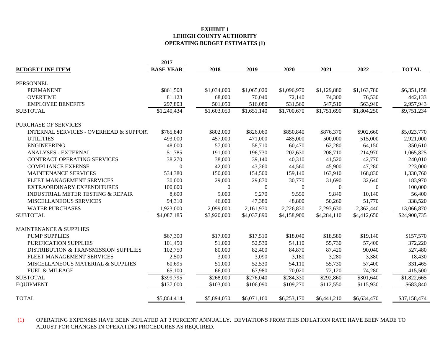#### **EXHIBIT 1 LEHIGH COUNTY AUTHORITY OPERATING BUDGET ESTIMATES (1)**

|                                                   | 2017             |             |              |             |             |             |              |
|---------------------------------------------------|------------------|-------------|--------------|-------------|-------------|-------------|--------------|
| <b>BUDGET LINE ITEM</b>                           | <b>BASE YEAR</b> | 2018        | 2019         | 2020        | 2021        | 2022        | <b>TOTAL</b> |
|                                                   |                  |             |              |             |             |             |              |
| PERSONNEL                                         |                  |             |              |             |             |             |              |
| <b>PERMANENT</b>                                  | \$861,508        | \$1,034,000 | \$1,065,020  | \$1,096,970 | \$1,129,880 | \$1,163,780 | \$6,351,158  |
| <b>OVERTIME</b>                                   | 81,123           | 68,000      | 70,040       | 72,140      | 74,300      | 76,530      | 442,133      |
| <b>EMPLOYEE BENEFITS</b>                          | 297,803          | 501,050     | 516,080      | 531,560     | 547,510     | 563,940     | 2,957,943    |
| <b>SUBTOTAL</b>                                   | \$1,240,434      | \$1,603,050 | \$1,651,140  | \$1,700,670 | \$1,751,690 | \$1,804,250 | \$9,751,234  |
| PURCHASE OF SERVICES                              |                  |             |              |             |             |             |              |
| <b>INTERNAL SERVICES - OVERHEAD &amp; SUPPORT</b> | \$765,840        | \$802,000   | \$826,060    | \$850,840   | \$876,370   | \$902,660   | \$5,023,770  |
| <b>UTILITIES</b>                                  | 493,000          | 457,000     | 471,000      | 485,000     | 500,000     | 515,000     | 2,921,000    |
| <b>ENGINEERING</b>                                | 48,000           | 57,000      | 58,710       | 60,470      | 62,280      | 64,150      | 350,610      |
| <b>ANALYSES - EXTERNAL</b>                        | 51,785           | 191,000     | 196,730      | 202,630     | 208,710     | 214,970     | 1,065,825    |
| CONTRACT OPERATING SERVICES                       | 38,270           | 38,000      | 39,140       | 40,310      | 41,520      | 42,770      | 240,010      |
| <b>COMPLIANCE EXPENSE</b>                         | $\Omega$         | 42,000      | 43,260       | 44,560      | 45,900      | 47,280      | 223,000      |
| MAINTENANCE SERVICES                              | 534,380          | 150,000     | 154,500      | 159,140     | 163,910     | 168,830     | 1,330,760    |
| FLEET MANAGEMENT SERVICES                         | 30,000           | 29,000      | 29,870       | 30,770      | 31,690      | 32,640      | 183,970      |
| EXTRAORDINARY EXPENDITURES                        | 100,000          | $\Omega$    | $\mathbf{0}$ | $\theta$    | $\Omega$    | $\Omega$    | 100,000      |
| <b>INDUSTRIAL METER TESTING &amp; REPAIR</b>      | 8,600            | 9,000       | 9,270        | 9,550       | 9,840       | 10,140      | 56,400       |
| MISCELLANEOUS SERVICES                            | 94,310           | 46,000      | 47,380       | 48,800      | 50,260      | 51,770      | 338,520      |
| <b>WATER PURCHASES</b>                            | 1,923,000        | 2,099,000   | 2,161,970    | 2,226,830   | 2,293,630   | 2,362,440   | 13,066,870   |
| <b>SUBTOTAL</b>                                   | \$4,087,185      | \$3,920,000 | \$4,037,890  | \$4,158,900 | \$4,284,110 | \$4,412,650 | \$24,900,735 |
| <b>MAINTENANCE &amp; SUPPLIES</b>                 |                  |             |              |             |             |             |              |
| <b>PUMP SUPPLIES</b>                              | \$67,300         | \$17,000    | \$17,510     | \$18,040    | \$18,580    | \$19,140    | \$157,570    |
| PURIFICATION SUPPLIES                             | 101,450          | 51,000      | 52,530       | 54,110      | 55,730      | 57,400      | 372,220      |
| DISTRIBUTION & TRANSMISSION SUPPLIES              | 102,750          | 80,000      | 82,400       | 84,870      | 87,420      | 90,040      | 527,480      |
| FLEET MANAGEMENT SERVICES                         | 2,500            | 3,000       | 3,090        | 3,180       | 3,280       | 3,380       | 18,430       |
| MISCELLANEOUS MATERIAL & SUPPLIES                 | 60,695           | 51,000      | 52,530       | 54,110      | 55,730      | 57,400      | 331,465      |
| <b>FUEL &amp; MILEAGE</b>                         | 65,100           | 66,000      | 67,980       | 70,020      | 72,120      | 74,280      | 415,500      |
| <b>SUBTOTAL</b>                                   | \$399,795        | \$268,000   | \$276,040    | \$284,330   | \$292,860   | \$301,640   | \$1,822,665  |
|                                                   |                  |             |              |             |             |             |              |
| <b>EQUIPMENT</b>                                  | \$137,000        | \$103,000   | \$106,090    | \$109,270   | \$112,550   | \$115,930   | \$683,840    |
| <b>TOTAL</b>                                      | \$5,864,414      | \$5,894,050 | \$6,071,160  | \$6,253,170 | \$6,441,210 | \$6,634,470 | \$37,158,474 |

(1) OPERATING EXPENSES HAVE BEEN INFLATED AT 3 PERCENT ANNUALLY. DEVIATIONS FROM THIS INFLATION RATE HAVE BEEN MADE TO ADJUST FOR CHANGES IN OPERATING PROCEDURES AS REQUIRED.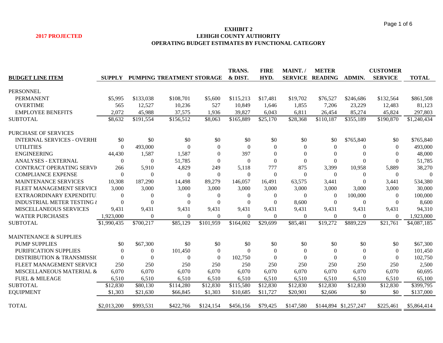#### **EXHIBIT 2 2017 PROJECTED LEHIGH COUNTY AUTHORITY OPERATING BUDGET ESTIMATES BY FUNCTIONAL CATEGORY**

|                                       |                  |                |                           |                | <b>TRANS.</b> | <b>FIRE</b> | MAINT./      | <b>METER</b>           |                       | <b>CUSTOMER</b> |              |
|---------------------------------------|------------------|----------------|---------------------------|----------------|---------------|-------------|--------------|------------------------|-----------------------|-----------------|--------------|
| <b>BUDGET LINE ITEM</b>               | <b>SUPPLY</b>    |                | PUMPING TREATMENT STORAGE |                | & DIST.       | HYD.        |              | <b>SERVICE READING</b> | ADMIN.                | <b>SERVICE</b>  | <b>TOTAL</b> |
|                                       |                  |                |                           |                |               |             |              |                        |                       |                 |              |
| <b>PERSONNEL</b>                      |                  |                |                           |                |               |             |              |                        |                       |                 |              |
| <b>PERMANENT</b>                      | \$5,995          | \$133,038      | \$108,701                 | \$5,600        | \$115,213     | \$17,481    | \$19,702     | \$76,527               | \$246,686             | \$132,564       | \$861,508    |
| <b>OVERTIME</b>                       | 565              | 12,527         | 10,236                    | 527            | 10,849        | 1,646       | 1,855        | 7,206                  | 23,229                | 12,483          | 81,123       |
| <b>EMPLOYEE BENEFITS</b>              | 2,072            | 45,988         | 37,575                    | 1,936          | 39,827        | 6,043       | 6,811        | 26,454                 | 85,274                | 45,824          | 297,803      |
| <b>SUBTOTAL</b>                       | \$8,632          | \$191,554      | \$156,512                 | \$8,063        | \$165,889     | \$25,170    | \$28,368     | \$110,187              | \$355,189             | \$190,870       | \$1,240,434  |
| <b>PURCHASE OF SERVICES</b>           |                  |                |                           |                |               |             |              |                        |                       |                 |              |
| <b>INTERNAL SERVICES - OVERHI</b>     | \$0              | \$0            | \$0                       | \$0            | \$0           | \$0         | \$0          | \$0                    | \$765,840             | \$0             | \$765,840    |
| <b>UTILITIES</b>                      | $\Omega$         | 493,000        | $\Omega$                  | $\Omega$       | $\Omega$      | $\theta$    | $\Omega$     | $\theta$               | $\theta$              | $\Omega$        | 493,000      |
| <b>ENGINEERING</b>                    | 44,430           | 1,587          | 1,587                     | $\overline{0}$ | 397           | $\Omega$    | $\theta$     | $\theta$               | $\theta$              | $\overline{0}$  | 48,000       |
| <b>ANALYSES - EXTERNAL</b>            | $\boldsymbol{0}$ | $\overline{0}$ | 51,785                    | $\overline{0}$ | $\Omega$      | $\Omega$    | $\Omega$     | $\mathbf{0}$           | $\theta$              | $\mathbf{0}$    | 51,785       |
| <b>CONTRACT OPERATING SERVI</b>       | 266              | 5,910          | 4,829                     | 249            | 5,118         | 777         | 875          | 3,399                  | 10,958                | 5,889           | 38,270       |
| <b>COMPLIANCE EXPENSE</b>             | $\Omega$         | $\Omega$       | $\Omega$                  | $\Omega$       | $\Omega$      | $\Omega$    | $\theta$     | $\Omega$               | $\overline{0}$        | $\Omega$        | $\Omega$     |
| <b>MAINTENANCE SERVICES</b>           | 10,308           | 187,290        | 14,498                    | 89,279         | 146,057       | 16,491      | 63,575       | 3,441                  | $\theta$              | 3,441           | 534,380      |
| FLEET MANAGEMENT SERVICI              | 3,000            | 3,000          | 3,000                     | 3,000          | 3,000         | 3,000       | 3,000        | 3,000                  | 3,000                 | 3,000           | 30,000       |
| EXTRAORDINARY EXPENDITU               | $\Omega$         | $\theta$       | $\theta$                  | 0              | $\mathbf{0}$  | $\theta$    | $\theta$     | $\mathbf{0}$           | 100,000               | $\overline{0}$  | 100,000      |
| INDUSTRIAL METER TESTING ¿            | $\theta$         | $\Omega$       | $\Omega$                  | $\Omega$       | $\theta$      | $\Omega$    | 8,600        | $\theta$               | $\overline{0}$        | $\theta$        | 8,600        |
| MISCELLANEOUS SERVICES                | 9,431            | 9,431          | 9,431                     | 9,431          | 9,431         | 9,431       | 9,431        | 9,431                  | 9,431                 | 9,431           | 94,310       |
| <b>WATER PURCHASES</b>                | 1,923,000        | $\mathbf{0}$   | $\Omega$                  | $\Omega$       | $\mathbf{0}$  | $\Omega$    | $\mathbf{0}$ | $\mathbf{0}$           | $\mathbf{0}$          | $\mathbf{0}$    | 1,923,000    |
| <b>SUBTOTAL</b>                       | \$1,990,435      | \$700,217      | \$85,129                  | \$101,959      | \$164,002     | \$29,699    | \$85,481     | \$19,272               | \$889,229             | \$21,761        | \$4,087,185  |
|                                       |                  |                |                           |                |               |             |              |                        |                       |                 |              |
| <b>MAINTENANCE &amp; SUPPLIES</b>     |                  |                |                           |                |               |             |              |                        |                       |                 |              |
| <b>PUMP SUPPLIES</b>                  | \$0              | \$67,300       | \$0                       | \$0            | \$0           | \$0         | \$0          | \$0                    | \$0                   | \$0             | \$67,300     |
| PURIFICATION SUPPLIES                 | $\Omega$         | $\theta$       | 101,450                   | $\overline{0}$ | $\Omega$      | $\left($    | $\Omega$     | $\theta$               | $\boldsymbol{0}$      | $\Omega$        | 101,450      |
| <b>DISTRIBUTION &amp; TRANSMISSIC</b> | $\Omega$         | $\Omega$       | $\theta$                  | $\overline{0}$ | 102,750       | $\Omega$    | $\Omega$     | $\Omega$               | $\theta$              | $\theta$        | 102,750      |
| FLEET MANAGEMENT SERVICI              | 250              | 250            | 250                       | 250            | 250           | 250         | 250          | 250                    | 250                   | 250             | 2,500        |
| MISCELLANEOUS MATERIAL &              | 6,070            | 6,070          | 6,070                     | 6,070          | 6,070         | 6,070       | 6,070        | 6,070                  | 6,070                 | 6,070           | 60,695       |
| <b>FUEL &amp; MILEAGE</b>             | 6,510            | 6,510          | 6,510                     | 6,510          | 6,510         | 6,510       | 6,510        | 6,510                  | 6,510                 | 6,510           | 65,100       |
| <b>SUBTOTAL</b>                       | \$12,830         | \$80,130       | \$114,280                 | \$12,830       | \$115,580     | \$12,830    | \$12,830     | \$12,830               | \$12,830              | \$12,830        | \$399,795    |
| <b>EQUIPMENT</b>                      | \$1,303          | \$21,630       | \$66,845                  | \$1,303        | \$10,685      | \$11,727    | \$20,901     | \$2,606                | \$0                   | \$0             | \$137,000    |
|                                       |                  |                |                           |                |               |             |              |                        |                       |                 |              |
| <b>TOTAL</b>                          | \$2,013,200      | \$993,531      | \$422,766                 | \$124,154      | \$456,156     | \$79,425    | \$147,580    |                        | \$144,894 \$1,257,247 | \$225,461       | \$5,864,414  |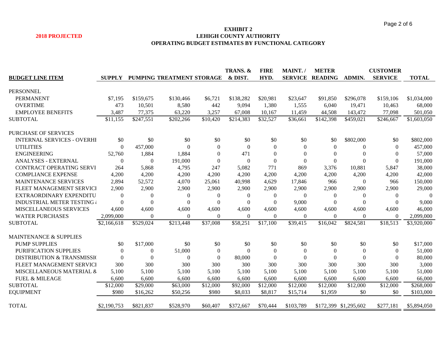#### **EXHIBIT 2 2018 PROJECTED LEHIGH COUNTY AUTHORITY OPERATING BUDGET ESTIMATES BY FUNCTIONAL CATEGORY**

|                                        |                |                |                           |                | TRANS. &  | <b>FIRE</b>      | MAINT.         | <b>METER</b>     |                       | <b>CUSTOMER</b> |              |
|----------------------------------------|----------------|----------------|---------------------------|----------------|-----------|------------------|----------------|------------------|-----------------------|-----------------|--------------|
| <b>BUDGET LINE ITEM</b>                | <b>SUPPLY</b>  |                | PUMPING TREATMENT STORAGE |                | & DIST.   | HYD.             | <b>SERVICE</b> | <b>READING</b>   | ADMIN.                | <b>SERVICE</b>  | <b>TOTAL</b> |
|                                        |                |                |                           |                |           |                  |                |                  |                       |                 |              |
| <b>PERSONNEL</b>                       |                |                |                           |                |           |                  |                |                  |                       |                 |              |
| <b>PERMANENT</b>                       | \$7,195        | \$159,675      | \$130,466                 | \$6,721        | \$138,282 | \$20,981         | \$23,647       | \$91,850         | \$296,078             | \$159,106       | \$1,034,000  |
| <b>OVERTIME</b>                        | 473            | 10,501         | 8,580                     | 442            | 9,094     | 1,380            | 1,555          | 6,040            | 19,471                | 10,463          | 68,000       |
| <b>EMPLOYEE BENEFITS</b>               | 3,487          | 77,375         | 63,220                    | 3,257          | 67,008    | 10,167           | 11,459         | 44,508           | 143,472               | 77,098          | 501,050      |
| <b>SUBTOTAL</b>                        | \$11,155       | \$247,551      | \$202,266                 | \$10,420       | \$214,383 | \$32,527         | \$36,661       | \$142,398        | \$459,021             | \$246,667       | \$1,603,050  |
| <b>PURCHASE OF SERVICES</b>            |                |                |                           |                |           |                  |                |                  |                       |                 |              |
| <b>INTERNAL SERVICES - OVERHI</b>      | \$0            | \$0            | \$0                       | \$0            | \$0       | \$0              | \$0            | \$0              | \$802,000             | \$0             | \$802,000    |
| <b>UTILITIES</b>                       | 0              | 457,000        | $\Omega$                  | $\Omega$       | $\Omega$  | $\theta$         | $\Omega$       | $\Omega$         | $\mathbf{0}$          | $\Omega$        | 457,000      |
| <b>ENGINEERING</b>                     | 52,760         | 1,884          | 1,884                     | $\theta$       | 471       | $\mathbf{0}$     | $\Omega$       | $\overline{0}$   | $\theta$              | $\Omega$        | 57,000       |
| <b>ANALYSES - EXTERNAL</b>             | $\overline{0}$ | $\overline{0}$ | 191,000                   | $\theta$       | $\theta$  | $\boldsymbol{0}$ | $\Omega$       | $\boldsymbol{0}$ | $\theta$              | $\Omega$        | 191,000      |
| CONTRACT OPERATING SERVI               | 264            | 5,868          | 4,795                     | 247            | 5,082     | 771              | 869            | 3,376            | 10,881                | 5,847           | 38,000       |
| <b>COMPLIANCE EXPENSE</b>              | 4,200          | 4,200          | 4,200                     | 4,200          | 4,200     | 4,200            | 4,200          | 4,200            | 4,200                 | 4,200           | 42,000       |
| <b>MAINTENANCE SERVICES</b>            | 2,894          | 52,572         | 4,070                     | 25,061         | 40,998    | 4,629            | 17,846         | 966              | $\theta$              | 966             | 150,000      |
| FLEET MANAGEMENT SERVICI               | 2,900          | 2,900          | 2,900                     | 2,900          | 2,900     | 2,900            | 2,900          | 2,900            | 2,900                 | 2,900           | 29,000       |
| EXTRAORDINARY EXPENDITU                | $\theta$       | $\theta$       | 0                         | $\overline{0}$ | $\theta$  | 0                | $\theta$       | $\mathbf{0}$     | $\theta$              | $\theta$        | $\Omega$     |
| <b>INDUSTRIAL METER TESTING a</b>      | $\Omega$       | $\theta$       | $\Omega$                  | $\theta$       | $\Omega$  | $\Omega$         | 9,000          | $\Omega$         | $\Omega$              | $\Omega$        | 9,000        |
| MISCELLANEOUS SERVICES                 | 4,600          | 4,600          | 4,600                     | 4,600          | 4,600     | 4,600            | 4,600          | 4,600            | 4,600                 | 4,600           | 46,000       |
| <b>WATER PURCHASES</b>                 | 2,099,000      | $\overline{0}$ | $\theta$                  | $\Omega$       | $\Omega$  | $\theta$         | $\mathbf{0}$   | $\Omega$         | $\mathbf{0}$          | $\Omega$        | 2,099,000    |
| <b>SUBTOTAL</b>                        | \$2,166,618    | \$529,024      | \$213,448                 | \$37,008       | \$58,251  | \$17,100         | \$39,415       | \$16,042         | \$824,581             | \$18,513        | \$3,920,000  |
| <b>MAINTENANCE &amp; SUPPLIES</b>      |                |                |                           |                |           |                  |                |                  |                       |                 |              |
| <b>PUMP SUPPLIES</b>                   | \$0            | \$17,000       | \$0                       | \$0            | \$0       | \$0              | \$0            | \$0              | \$0                   | \$0             | \$17,000     |
| PURIFICATION SUPPLIES                  | $\overline{0}$ | $\theta$       | 51,000                    | $\overline{0}$ | $\Omega$  | $\overline{0}$   | $\theta$       | $\Omega$         | $\theta$              | $\Omega$        | 51,000       |
| <b>DISTRIBUTION &amp; TRANSMISSION</b> | $\Omega$       | $\theta$       | $\Omega$                  | $\Omega$       | 80,000    | $\Omega$         | $\Omega$       | $\theta$         | $\Omega$              | $\Omega$        | 80,000       |
| FLEET MANAGEMENT SERVICI               | 300            | 300            | 300                       | 300            | 300       | 300              | 300            | 300              | 300                   | 300             | 3,000        |
| MISCELLANEOUS MATERIAL &               | 5,100          | 5,100          | 5,100                     | 5,100          | 5,100     | 5,100            | 5,100          | 5,100            | 5,100                 | 5,100           | 51,000       |
| <b>FUEL &amp; MILEAGE</b>              | 6,600          | 6,600          | 6,600                     | 6,600          | 6,600     | 6,600            | 6,600          | 6,600            | 6,600                 | 6,600           |              |
| <b>SUBTOTAL</b>                        | \$12,000       | \$29,000       | \$63,000                  | \$12,000       |           | \$12,000         | \$12,000       | \$12,000         |                       |                 | 66,000       |
|                                        |                |                |                           |                | \$92,000  |                  |                |                  | \$12,000              | \$12,000        | \$268,000    |
| <b>EQUIPMENT</b>                       | \$980          | \$16,262       | \$50,256                  | \$980          | \$8,033   | \$8,817          | \$15,714       | \$1,959          | \$0                   | \$0             | \$103,000    |
| <b>TOTAL</b>                           | \$2,190,753    | \$821,837      | \$528,970                 | \$60,407       | \$372,667 | \$70,444         | \$103,789      |                  | \$172,399 \$1,295,602 | \$277,181       | \$5,894,050  |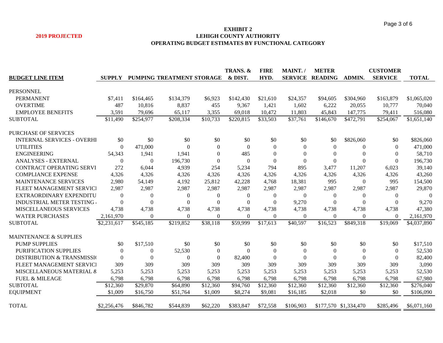#### **EXHIBIT 2 2019 PROJECTED LEHIGH COUNTY AUTHORITY OPERATING BUDGET ESTIMATES BY FUNCTIONAL CATEGORY**

|                                        |                |                |                           |                | TRANS. &     | <b>FIRE</b>    | MAINT./        | <b>METER</b>           |                       | <b>CUSTOMER</b> |              |
|----------------------------------------|----------------|----------------|---------------------------|----------------|--------------|----------------|----------------|------------------------|-----------------------|-----------------|--------------|
| <b>BUDGET LINE ITEM</b>                | <b>SUPPLY</b>  |                | PUMPING TREATMENT STORAGE |                | & DIST       | HYD.           |                | <b>SERVICE READING</b> | <b>ADMIN.</b>         | <b>SERVICE</b>  | <b>TOTAL</b> |
|                                        |                |                |                           |                |              |                |                |                        |                       |                 |              |
| <b>PERSONNEL</b>                       |                |                |                           |                |              |                |                |                        |                       |                 |              |
| <b>PERMANENT</b>                       | \$7,411        | \$164,465      | \$134,379                 | \$6,923        | \$142,430    | \$21,610       | \$24,357       | \$94,605               | \$304,960             | \$163,879       | \$1,065,020  |
| <b>OVERTIME</b>                        | 487            | 10,816         | 8,837                     | 455            | 9,367        | 1,421          | 1,602          | 6,222                  | 20,055                | 10,777          | 70,040       |
| <b>EMPLOYEE BENEFITS</b>               | 3,591          | 79,696         | 65,117                    | 3,355          | 69,018       | 10,472         | 11,803         | 45,843                 | 147,775               | 79,411          | 516,080      |
| <b>SUBTOTAL</b>                        | \$11,490       | \$254,977      | \$208,334                 | \$10,733       | \$220,815    | \$33,503       | \$37,761       | \$146,670              | \$472,791             | \$254,067       | \$1,651,140  |
| <b>PURCHASE OF SERVICES</b>            |                |                |                           |                |              |                |                |                        |                       |                 |              |
| <b>INTERNAL SERVICES - OVERHI</b>      | \$0            | \$0            | \$0                       | \$0            | \$0          | \$0            | \$0            | \$0                    | \$826,060             | \$0             | \$826,060    |
| <b>UTILITIES</b>                       | $\Omega$       | 471,000        | $\Omega$                  | $\mathbf{0}$   | $\theta$     | $\overline{0}$ | $\Omega$       | $\overline{0}$         | $\mathbf{0}$          | $\Omega$        | 471,000      |
| <b>ENGINEERING</b>                     | 54,343         | 1,941          | 1,941                     | $\mathbf{0}$   | 485          | $\mathbf{0}$   | $\theta$       | $\mathbf{0}$           | $\mathbf{0}$          | $\theta$        | 58,710       |
| ANALYSES - EXTERNAL                    | $\overline{0}$ | $\overline{0}$ | 196,730                   | $\Omega$       | $\Omega$     | $\Omega$       | $\theta$       | $\Omega$               | $\theta$              | $\Omega$        | 196,730      |
| CONTRACT OPERATING SERVI               | 272            | 6,044          | 4,939                     | 254            | 5,234        | 794            | 895            | 3,477                  | 11,207                | 6,023           | 39,140       |
| <b>COMPLIANCE EXPENSE</b>              | 4,326          | 4,326          | 4,326                     | 4,326          | 4,326        | 4,326          | 4,326          | 4,326                  | 4,326                 | 4,326           | 43,260       |
| <b>MAINTENANCE SERVICES</b>            | 2,980          | 54,149         | 4,192                     | 25,812         | 42,228       | 4,768          | 18,381         | 995                    | $\overline{0}$        | 995             | 154,500      |
| FLEET MANAGEMENT SERVICI               | 2,987          | 2,987          | 2,987                     | 2,987          | 2,987        | 2,987          | 2,987          | 2,987                  | 2,987                 | 2,987           | 29,870       |
| EXTRAORDINARY EXPENDITU                | $\overline{0}$ | $\overline{0}$ | $\mathbf{0}$              | $\theta$       | $\mathbf{0}$ | $\mathbf{0}$   | $\mathbf{0}$   | $\theta$               | $\theta$              | $\theta$        | $\Omega$     |
| <b>INDUSTRIAL METER TESTING</b>        | $\Omega$       | $\Omega$       | $\Omega$                  | $\Omega$       | $\Omega$     | $\Omega$       | 9,270          | $\Omega$               | $\Omega$              | $\theta$        | 9,270        |
| <b>MISCELLANEOUS SERVICES</b>          | 4,738          | 4,738          | 4,738                     | 4,738          | 4,738        | 4,738          | 4,738          | 4,738                  | 4,738                 | 4,738           | 47,380       |
| <b>WATER PURCHASES</b>                 | 2,161,970      | $\theta$       | $\Omega$                  | $\Omega$       | $\mathbf{0}$ | $\Omega$       | $\overline{0}$ | $\overline{0}$         | $\theta$              | $\Omega$        | 2,161,970    |
| <b>SUBTOTAL</b>                        | \$2,231,617    | \$545,185      | \$219,852                 | \$38,118       | \$59,999     | \$17,613       | \$40,597       | \$16,523               | \$849,318             | \$19,069        | \$4,037,890  |
| <b>MAINTENANCE &amp; SUPPLIES</b>      |                |                |                           |                |              |                |                |                        |                       |                 |              |
| <b>PUMP SUPPLIES</b>                   | \$0            | \$17,510       | \$0                       | \$0            | \$0          | \$0            | \$0            | \$0                    | \$0                   | \$0             |              |
| PURIFICATION SUPPLIES                  |                |                |                           |                | $\Omega$     |                |                | $\Omega$               |                       | $\Omega$        | \$17,510     |
|                                        | $\Omega$       | $\Omega$       | 52,530                    | $\overline{0}$ |              | $\theta$       | $\Omega$       |                        | $\theta$              |                 | 52,530       |
| <b>DISTRIBUTION &amp; TRANSMISSION</b> | $\Omega$       | $\theta$       | $\Omega$                  | $\theta$       | 82,400       | $\theta$       | $\Omega$       | $\Omega$               | $\theta$              | $\Omega$        | 82,400       |
| FLEET MANAGEMENT SERVICI               | 309            | 309            | 309                       | 309            | 309          | 309            | 309            | 309                    | 309                   | 309             | 3,090        |
| MISCELLANEOUS MATERIAL &               | 5,253          | 5,253          | 5,253                     | 5,253          | 5,253        | 5,253          | 5,253          | 5,253                  | 5,253                 | 5,253           | 52,530       |
| <b>FUEL &amp; MILEAGE</b>              | 6,798          | 6,798          | 6,798                     | 6,798          | 6,798        | 6,798          | 6,798          | 6,798                  | 6,798                 | 6,798           | 67,980       |
| <b>SUBTOTAL</b>                        | \$12,360       | \$29,870       | \$64,890                  | \$12,360       | \$94,760     | \$12,360       | \$12,360       | \$12,360               | \$12,360              | \$12,360        | \$276,040    |
| <b>EQUIPMENT</b>                       | \$1,009        | \$16,750       | \$51,764                  | \$1,009        | \$8,274      | \$9,081        | \$16,185       | \$2,018                | \$0                   | \$0             | \$106,090    |
| <b>TOTAL</b>                           | \$2,256,476    | \$846,782      | \$544,839                 | \$62,220       | \$383,847    | \$72,558       | \$106.903      |                        | \$177,570 \$1,334,470 | \$285,496       | \$6,071,160  |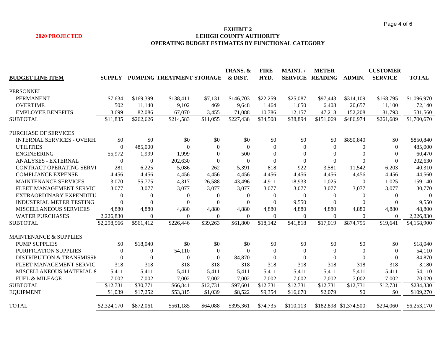#### **EXHIBIT 2 2020 PROJECTED LEHIGH COUNTY AUTHORITY OPERATING BUDGET ESTIMATES BY FUNCTIONAL CATEGORY**

|                                      |               |                  |                           |                | TRANS. &  | <b>FIRE</b>      | MAINT./          | <b>METER</b>   |                       | <b>CUSTOMER</b> |              |
|--------------------------------------|---------------|------------------|---------------------------|----------------|-----------|------------------|------------------|----------------|-----------------------|-----------------|--------------|
| <b>BUDGET LINE ITEM</b>              | <b>SUPPLY</b> |                  | PUMPING TREATMENT STORAGE |                | & DIST.   | HYD.             | <b>SERVICE</b>   | <b>READING</b> | ADMIN.                | <b>SERVICE</b>  | <b>TOTAL</b> |
|                                      |               |                  |                           |                |           |                  |                  |                |                       |                 |              |
| <b>PERSONNEL</b>                     |               |                  |                           |                |           |                  |                  |                |                       |                 |              |
| <b>PERMANENT</b>                     | \$7,634       | \$169,399        | \$138,411                 | \$7,131        | \$146,703 | \$22,259         | \$25,087         | \$97,443       | \$314,109             | \$168,795       | \$1,096,970  |
| <b>OVERTIME</b>                      | 502           | 11,140           | 9,102                     | 469            | 9,648     | 1,464            | 1,650            | 6,408          | 20,657                | 11,100          | 72,140       |
| <b>EMPLOYEE BENEFITS</b>             | 3,699         | 82,086           | 67,070                    | 3,455          | 71,088    | 10,786           | 12,157           | 47,218         | 152,208               | 81,793          | 531,560      |
| <b>SUBTOTAL</b>                      | \$11,835      | \$262,626        | \$214,583                 | \$11,055       | \$227,438 | \$34,508         | \$38,894         | \$151,069      | \$486,974             | \$261,689       | \$1,700,670  |
| <b>PURCHASE OF SERVICES</b>          |               |                  |                           |                |           |                  |                  |                |                       |                 |              |
| <b>INTERNAL SERVICES - OVERHI</b>    | \$0           | \$0              | \$0                       | \$0            | \$0       | \$0              | \$0              | \$0            | \$850,840             | \$0             | \$850,840    |
| <b>UTILITIES</b>                     | $\Omega$      | 485,000          | $\Omega$                  | $\Omega$       | $\Omega$  | $\boldsymbol{0}$ | $\Omega$         | $\Omega$       | $\theta$              | $\theta$        | 485,000      |
| <b>ENGINEERING</b>                   | 55,972        | 1,999            | 1,999                     | $\Omega$       | 500       | $\mathbf{0}$     | $\Omega$         | $\Omega$       | $\Omega$              | $\Omega$        | 60,470       |
| ANALYSES - EXTERNAL                  | $\theta$      | $\boldsymbol{0}$ | 202,630                   | $\overline{0}$ | $\Omega$  | $\mathbf{0}$     | $\boldsymbol{0}$ | $\Omega$       | $\Omega$              | $\mathbf{0}$    | 202,630      |
| CONTRACT OPERATING SERVI             | 281           | 6,225            | 5,086                     | 262            | 5,391     | 818              | 922              | 3,581          | 11,542                | 6,203           | 40,310       |
| <b>COMPLIANCE EXPENSE</b>            | 4,456         | 4,456            | 4,456                     | 4,456          | 4,456     | 4,456            | 4,456            | 4,456          | 4,456                 | 4,456           | 44,560       |
| <b>MAINTENANCE SERVICES</b>          | 3,070         | 55,775           | 4,317                     | 26,588         | 43,496    | 4,911            | 18,933           | 1,025          | $\theta$              | 1,025           | 159,140      |
| FLEET MANAGEMENT SERVIC              | 3,077         | 3,077            | 3,077                     | 3,077          | 3,077     | 3,077            | 3,077            | 3,077          | 3,077                 | 3,077           | 30,770       |
| EXTRAORDINARY EXPENDITU              | $\theta$      | $\theta$         | $\Omega$                  | 0              | $\Omega$  | $\boldsymbol{0}$ | $\Omega$         | $\theta$       | $\theta$              | $\left($        | $\theta$     |
| INDUSTRIAL METER TESTING             | $\Omega$      | $\Omega$         | $\theta$                  | $\Omega$       | $\Omega$  | $\mathbf{0}$     | 9,550            | $\Omega$       | $\theta$              | $\Omega$        | 9,550        |
| MISCELLANEOUS SERVICES               | 4,880         | 4,880            | 4,880                     | 4,880          | 4,880     | 4,880            | 4,880            | 4,880          | 4,880                 | 4,880           | 48,800       |
| <b>WATER PURCHASES</b>               | 2,226,830     | $\theta$         | $\mathbf{0}$              | $\Omega$       | $\Omega$  | $\mathbf{0}$     | $\boldsymbol{0}$ | $\theta$       | $\mathbf{0}$          | $\Omega$        | 2,226,830    |
| <b>SUBTOTAL</b>                      | \$2,298,566   | \$561,412        | \$226,446                 | \$39,263       | \$61,800  | \$18,142         | \$41,818         | \$17,019       | \$874,795             | \$19,641        | \$4,158,900  |
| <b>MAINTENANCE &amp; SUPPLIES</b>    |               |                  |                           |                |           |                  |                  |                |                       |                 |              |
| <b>PUMP SUPPLIES</b>                 | \$0           | \$18,040         | \$0                       | \$0            | \$0       | \$0              | \$0              | \$0            | \$0                   | \$0             | \$18,040     |
| PURIFICATION SUPPLIES                | $\theta$      | $\theta$         | 54,110                    | $\left($       | $\Omega$  | $\boldsymbol{0}$ | $\theta$         | $\Omega$       | $\Omega$              | $\Omega$        | 54,110       |
| <b>DISTRIBUTION &amp; TRANSMISSI</b> | $\Omega$      | $\theta$         | $\Omega$                  | $\overline{0}$ | 84,870    | $\mathbf{0}$     | $\theta$         | $\Omega$       | $\Omega$              | $\Omega$        | 84,870       |
| FLEET MANAGEMENT SERVIC              | 318           | 318              | 318                       | 318            | 318       | 318              | 318              | 318            | 318                   | 318             | 3,180        |
| MISCELLANEOUS MATERIAL &             | 5,411         | 5,411            | 5,411                     | 5,411          | 5,411     | 5,411            | 5,411            | 5,411          | 5,411                 | 5,411           | 54,110       |
| <b>FUEL &amp; MILEAGE</b>            | 7,002         | 7,002            | 7,002                     | 7,002          | 7,002     | 7,002            | 7,002            | 7,002          | 7,002                 | 7,002           | 70,020       |
| <b>SUBTOTAL</b>                      |               |                  |                           |                |           |                  |                  |                |                       |                 |              |
|                                      | \$12,731      | \$30,771         | \$66,841                  | \$12,731       | \$97,601  | \$12,731         | \$12,731         | \$12,731       | \$12,731              | \$12,731        | \$284,330    |
| <b>EQUIPMENT</b>                     | \$1,039       | \$17,252         | \$53,315                  | \$1,039        | \$8,522   | \$9,354          | \$16,670         | \$2,079        | \$0                   | \$0             | \$109,270    |
| <b>TOTAL</b>                         | \$2,324,170   | \$872,061        | \$561,185                 | \$64,088       | \$395,361 | \$74,735         | \$110,113        |                | \$182,898 \$1,374,500 | \$294,060       | \$6,253,170  |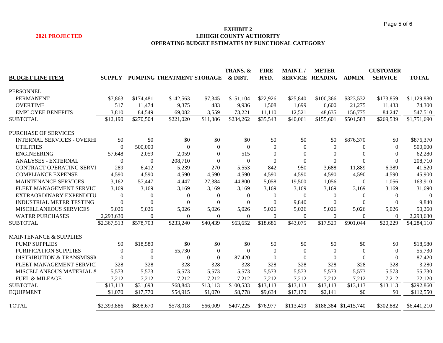#### **EXHIBIT 2 2021 PROJECTED LEHIGH COUNTY AUTHORITY OPERATING BUDGET ESTIMATES BY FUNCTIONAL CATEGORY**

|                                       |               |                |                           |                | TRANS. &       | <b>FIRE</b>    | MAINT./      | <b>METER</b>           |                       | <b>CUSTOMER</b> |              |
|---------------------------------------|---------------|----------------|---------------------------|----------------|----------------|----------------|--------------|------------------------|-----------------------|-----------------|--------------|
| <b>BUDGET LINE ITEM</b>               | <b>SUPPLY</b> |                | PUMPING TREATMENT STORAGE |                | & DIST.        | HYD.           |              | <b>SERVICE READING</b> | ADMIN.                | <b>SERVICE</b>  | <b>TOTAL</b> |
|                                       |               |                |                           |                |                |                |              |                        |                       |                 |              |
| <b>PERSONNEL</b>                      |               |                |                           |                |                |                |              |                        |                       |                 |              |
| <b>PERMANENT</b>                      | \$7,863       | \$174,481      | \$142,563                 | \$7,345        | \$151,104      | \$22,926       | \$25,840     | \$100,366              | \$323,532             | \$173,859       | \$1,129,880  |
| <b>OVERTIME</b>                       | 517           | 11,474         | 9,375                     | 483            | 9,936          | 1,508          | 1,699        | 6,600                  | 21,275                | 11,433          | 74,300       |
| <b>EMPLOYEE BENEFITS</b>              | 3,810         | 84,549         | 69,082                    | 3,559          | 73,221         | 11,110         | 12,521       | 48,635                 | 156,775               | 84,247          | 547,510      |
| <b>SUBTOTAL</b>                       | \$12,190      | \$270,504      | \$221,020                 | \$11,386       | \$234,262      | \$35,543       | \$40,061     | \$155,601              | \$501,583             | \$269,539       | \$1,751,690  |
| <b>PURCHASE OF SERVICES</b>           |               |                |                           |                |                |                |              |                        |                       |                 |              |
| <b>INTERNAL SERVICES - OVERHI</b>     | \$0           | \$0            | \$0                       | \$0            | \$0            | \$0            | \$0          | \$0                    | \$876,370             | \$0             | \$876,370    |
| <b>UTILITIES</b>                      | $\theta$      | 500,000        | $\Omega$                  | $\overline{0}$ | $\Omega$       | $\theta$       | $\Omega$     | $\overline{0}$         | $\boldsymbol{0}$      | $\mathbf{0}$    | 500,000      |
| <b>ENGINEERING</b>                    | 57,648        | 2,059          | 2,059                     | $\theta$       | 515            | $\overline{0}$ | $\Omega$     | $\overline{0}$         | $\overline{0}$        | $\mathbf{0}$    | 62,280       |
| ANALYSES - EXTERNAL                   | $\Omega$      | $\overline{0}$ | 208,710                   | $\theta$       | $\theta$       | $\theta$       | $\theta$     | $\theta$               | $\theta$              | $\Omega$        | 208,710      |
| CONTRACT OPERATING SERVI              | 289           | 6,412          | 5,239                     | 270            | 5,553          | 842            | 950          | 3,688                  | 11,889                | 6,389           | 41,520       |
| <b>COMPLIANCE EXPENSE</b>             | 4,590         | 4,590          | 4,590                     | 4,590          | 4,590          | 4,590          | 4,590        | 4,590                  | 4,590                 | 4,590           | 45,900       |
| MAINTENANCE SERVICES                  | 3,162         | 57,447         | 4,447                     | 27,384         | 44,800         | 5,058          | 19,500       | 1,056                  | $\mathbf{0}$          | 1,056           | 163,910      |
| FLEET MANAGEMENT SERVICI              | 3,169         | 3,169          | 3,169                     | 3,169          | 3,169          | 3,169          | 3,169        | 3,169                  | 3,169                 | 3,169           | 31,690       |
| EXTRAORDINARY EXPENDITU               | $\Omega$      | $\overline{0}$ | $\theta$                  | $\theta$       | $\mathbf{0}$   | $\mathbf{0}$   | $\mathbf{0}$ | $\theta$               | $\mathbf{0}$          | $\mathbf{0}$    | $\Omega$     |
| INDUSTRIAL METER TESTING              | $\Omega$      | $\Omega$       | $\theta$                  | $\Omega$       | $\Omega$       | $\theta$       | 9,840        | $\Omega$               | $\Omega$              | $\Omega$        | 9,840        |
| <b>MISCELLANEOUS SERVICES</b>         | 5,026         | 5,026          | 5,026                     | 5,026          | 5,026          | 5,026          | 5,026        | 5,026                  | 5,026                 | 5,026           | 50,260       |
| <b>WATER PURCHASES</b>                | 2,293,630     | $\overline{0}$ | $\Omega$                  | $\Omega$       | $\overline{0}$ | $\Omega$       | $\mathbf{0}$ | $\overline{0}$         | $\mathbf{0}$          | $\overline{0}$  | 2,293,630    |
| <b>SUBTOTAL</b>                       | \$2,367,513   | \$578,703      | \$233,240                 | \$40,439       | \$63,652       | \$18,686       | \$43,075     | \$17,529               | \$901,044             | \$20,229        | \$4,284,110  |
| <b>MAINTENANCE &amp; SUPPLIES</b>     |               |                |                           |                |                |                |              |                        |                       |                 |              |
| <b>PUMP SUPPLIES</b>                  | \$0           | \$18,580       | \$0                       | \$0            | \$0            | \$0            | \$0          | \$0                    | \$0                   | \$0             | \$18,580     |
| PURIFICATION SUPPLIES                 | $\theta$      | $\overline{0}$ | 55,730                    | $\mathbf{0}$   | $\Omega$       | $\theta$       | $\theta$     | $\Omega$               | $\boldsymbol{0}$      | $\Omega$        | 55,730       |
| <b>DISTRIBUTION &amp; TRANSMISSIO</b> | $\theta$      | $\mathbf{0}$   | $\Omega$                  | $\theta$       | 87,420         | $\theta$       | $\Omega$     | $\Omega$               | $\Omega$              | $\Omega$        | 87,420       |
| FLEET MANAGEMENT SERVICI              | 328           | 328            | 328                       | 328            | 328            | 328            | 328          | 328                    | 328                   | 328             | 3,280        |
| MISCELLANEOUS MATERIAL &              | 5,573         | 5,573          | 5,573                     | 5,573          | 5,573          | 5,573          | 5,573        | 5,573                  | 5,573                 | 5,573           | 55,730       |
| <b>FUEL &amp; MILEAGE</b>             | 7,212         | 7,212          | 7,212                     | 7,212          | 7,212          | 7,212          | 7,212        | 7,212                  | 7,212                 | 7,212           | 72,120       |
| <b>SUBTOTAL</b>                       | \$13,113      | \$31,693       | \$68,843                  | \$13,113       | \$100,533      | \$13,113       | \$13,113     | \$13,113               | \$13,113              | \$13,113        | \$292,860    |
| <b>EQUIPMENT</b>                      | \$1,070       | \$17,770       | \$54,915                  | \$1,070        | \$8,778        | \$9,634        | \$17,170     | \$2,141                | \$0                   | \$0             | \$112,550    |
|                                       |               |                |                           |                |                |                |              |                        |                       |                 |              |
| <b>TOTAL</b>                          | \$2,393,886   | \$898,670      | \$578,018                 | \$66,009       | \$407,225      | \$76,977       | \$113,419    |                        | \$188,384 \$1,415,740 | \$302,882       | \$6,441,210  |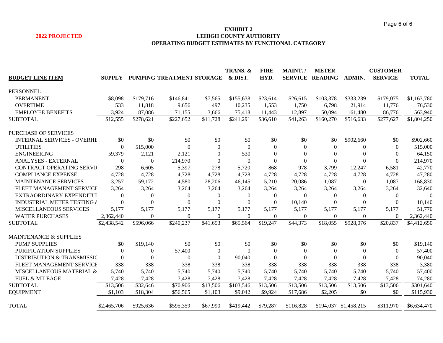#### **EXHIBIT 2 2022 PROJECTED LEHIGH COUNTY AUTHORITY OPERATING BUDGET ESTIMATES BY FUNCTIONAL CATEGORY**

|                                       |                |                |                           |                  | TRANS. &       | <b>FIRE</b>  | MAINT./      | <b>METER</b>           |                       | <b>CUSTOMER</b>  |              |
|---------------------------------------|----------------|----------------|---------------------------|------------------|----------------|--------------|--------------|------------------------|-----------------------|------------------|--------------|
| <b>BUDGET LINE ITEM</b>               | <b>SUPPLY</b>  |                | PUMPING TREATMENT STORAGE |                  | & DIST.        | HYD.         |              | <b>SERVICE READING</b> | ADMIN.                | <b>SERVICE</b>   | <b>TOTAL</b> |
|                                       |                |                |                           |                  |                |              |              |                        |                       |                  |              |
| <b>PERSONNEL</b>                      |                |                |                           |                  |                |              |              |                        |                       |                  |              |
| <b>PERMANENT</b>                      | \$8,098        | \$179,716      | \$146,841                 | \$7,565          | \$155,638      | \$23,614     | \$26,615     | \$103,378              | \$333,239             | \$179,075        | \$1,163,780  |
| <b>OVERTIME</b>                       | 533            | 11,818         | 9,656                     | 497              | 10,235         | 1,553        | 1,750        | 6,798                  | 21,914                | 11,776           | 76,530       |
| <b>EMPLOYEE BENEFITS</b>              | 3,924          | 87,086         | 71,155                    | 3,666            | 75,418         | 11,443       | 12,897       | 50,094                 | 161,480               | 86,776           | 563,940      |
| <b>SUBTOTAL</b>                       | \$12,555       | \$278,621      | \$227,652                 | \$11,728         | \$241,291      | \$36,610     | \$41,263     | \$160,270              | \$516,633             | \$277,627        | \$1,804,250  |
| <b>PURCHASE OF SERVICES</b>           |                |                |                           |                  |                |              |              |                        |                       |                  |              |
| <b>INTERNAL SERVICES - OVERHE</b>     | \$0            | \$0            | \$0                       | \$0              | \$0            | \$0          | \$0          | \$0                    | \$902,660             | \$0              | \$902,660    |
| <b>UTILITIES</b>                      | $\Omega$       | 515,000        | $\Omega$                  | $\Omega$         | $\theta$       | $\theta$     | $\Omega$     | $\theta$               | $\overline{0}$        | $\Omega$         | 515,000      |
| <b>ENGINEERING</b>                    | 59,379         | 2,121          | 2,121                     | $\Omega$         | 530            | $\Omega$     | $\Omega$     | $\Omega$               | $\theta$              | $\overline{0}$   | 64,150       |
| ANALYSES - EXTERNAL                   | $\theta$       | $\overline{0}$ | 214,970                   | $\theta$         | $\Omega$       | $\Omega$     | $\theta$     | $\mathbf{0}$           | $\theta$              | $\mathbf{0}$     | 214,970      |
| <b>CONTRACT OPERATING SERVI</b>       | 298            | 6,605          | 5,397                     | 278              | 5,720          | 868          | 978          | 3,799                  | 12,247                | 6,581            | 42,770       |
| <b>COMPLIANCE EXPENSE</b>             | 4,728          | 4,728          | 4,728                     | 4,728            | 4,728          | 4,728        | 4,728        | 4,728                  | 4,728                 | 4,728            | 47,280       |
| MAINTENANCE SERVICES                  | 3,257          | 59,172         | 4,580                     | 28,206           | 46,145         | 5,210        | 20,086       | 1,087                  | $\overline{0}$        | 1,087            | 168,830      |
| FLEET MANAGEMENT SERVICI              | 3,264          | 3,264          | 3,264                     | 3,264            | 3,264          | 3,264        | 3,264        | 3,264                  | 3,264                 | 3,264            | 32,640       |
| EXTRAORDINARY EXPENDITU               | $\Omega$       | $\theta$       | $\overline{0}$            | $\boldsymbol{0}$ | $\mathbf{0}$   | $\mathbf{0}$ | $\Omega$     | $\mathbf{0}$           | $\overline{0}$        | $\boldsymbol{0}$ | $\Omega$     |
| <b>INDUSTRIAL METER TESTING &amp;</b> | $\overline{0}$ | $\Omega$       | $\Omega$                  | $\Omega$         | $\Omega$       | $\Omega$     | 10,140       | $\theta$               | $\theta$              | $\Omega$         | 10,140       |
| MISCELLANEOUS SERVICES                | 5,177          | 5,177          | 5,177                     | 5,177            | 5,177          | 5,177        | 5,177        | 5,177                  | 5,177                 | 5,177            | 51,770       |
| <b>WATER PURCHASES</b>                | 2,362,440      | $\overline{0}$ | $\Omega$                  | $\Omega$         | $\overline{0}$ | $\Omega$     | $\mathbf{0}$ | $\mathbf{0}$           | $\theta$              | $\overline{0}$   | 2,362,440    |
| <b>SUBTOTAL</b>                       | \$2,438,542    | \$596,066      | \$240,237                 | \$41,653         | \$65,564       | \$19,247     | \$44,373     | \$18,055               | \$928,076             | \$20,837         | \$4,412,650  |
| MAINTENANCE & SUPPLIES                |                |                |                           |                  |                |              |              |                        |                       |                  |              |
| <b>PUMP SUPPLIES</b>                  | \$0            | \$19,140       | \$0                       | \$0              | \$0            | \$0          | \$0          | \$0                    | \$0                   | \$0              | \$19,140     |
| PURIFICATION SUPPLIES                 | $\Omega$       | $\Omega$       | 57,400                    | $\overline{0}$   | $\Omega$       | $\theta$     | $\Omega$     | $\theta$               | $\boldsymbol{0}$      | $\overline{0}$   | 57,400       |
| <b>DISTRIBUTION &amp; TRANSMISSIC</b> | $\theta$       | $\Omega$       | $\theta$                  | $\overline{0}$   | 90,040         | $\Omega$     | $\Omega$     | $\Omega$               | $\theta$              | $\theta$         | 90,040       |
| FLEET MANAGEMENT SERVICI              | 338            | 338            | 338                       | 338              | 338            | 338          | 338          | 338                    | 338                   | 338              | 3,380        |
| MISCELLANEOUS MATERIAL &              | 5,740          | 5,740          | 5,740                     | 5,740            | 5,740          | 5,740        | 5,740        | 5,740                  | 5,740                 | 5,740            | 57,400       |
| <b>FUEL &amp; MILEAGE</b>             | 7,428          | 7,428          |                           | 7,428            | 7,428          |              | 7,428        |                        | 7,428                 | 7,428            |              |
| <b>SUBTOTAL</b>                       |                |                | 7,428                     | \$13,506         |                | 7,428        |              | 7,428                  |                       |                  | 74,280       |
|                                       | \$13,506       | \$32,646       | \$70,906                  |                  | \$103,546      | \$13,506     | \$13,506     | \$13,506               | \$13,506              | \$13,506         | \$301,640    |
| <b>EQUIPMENT</b>                      | \$1,103        | \$18,304       | \$56,565                  | \$1,103          | \$9,042        | \$9,924      | \$17,686     | \$2,205                | \$0                   | \$0              | \$115,930    |
| <b>TOTAL</b>                          | \$2,465,706    | \$925,636      | \$595,359                 | \$67,990         | \$419,442      | \$79,287     | \$116,828    |                        | \$194,037 \$1,458,215 | \$311,970        | \$6,634,470  |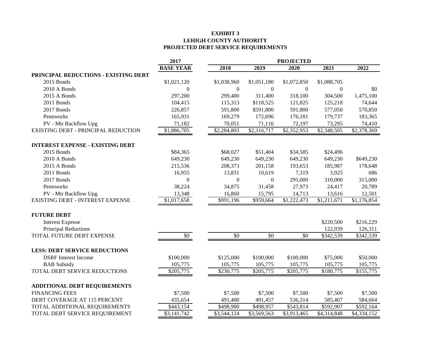### **EXHIBIT 3 LEHIGH COUNTY AUTHORITY PROJECTED DEBT SERVICE REQUIREMENTS**

|                                         | 2017             |                  |                | <b>PROJECTED</b> |                |             |
|-----------------------------------------|------------------|------------------|----------------|------------------|----------------|-------------|
|                                         | <b>BASE YEAR</b> | 2018             | 2019           | 2020             | 2021           | 2022        |
| PRINCIPAL REDUCTIONS - EXISTING DEBT    |                  |                  |                |                  |                |             |
| 2015 Bonds                              | \$1,021,120      | \$1,038,960      | \$1,051,180    | \$1,072,850      | \$1,088,705    |             |
| 2010 A Bonds                            | $\theta$         | $\overline{0}$   | $\theta$       | $\theta$         | $\overline{0}$ | \$0         |
| 2015 A Bonds                            | 297,200          | 299,400          | 311,400        | 318,100          | 304,500        | 1,475,100   |
| 2011 Bonds                              | 104,415          | 115,313          | \$118,525      | 121,825          | 125,218        | 74,644      |
| 2017 Bonds                              | 226,857          | 591,800          | \$591,800      | 591,800          | 577,050        | 570,850     |
| Pennworks                               | 165,931          | 169,279          | 172,696        | 176,181          | 179,737        | 183,365     |
| PV - Mtr Backflow Upg                   | 71,182           | 70,051           | 71,116         | 72,197           | 73,295         | 74,410      |
| EXISTING DEBT - PRINCIPAL REDUCTION     | \$1,886,705      | \$2,284,803      | \$2,316,717    | \$2,352,953      | \$2,348,505    | \$2,378,369 |
| <b>INTEREST EXPENSE - EXISTING DEBT</b> |                  |                  |                |                  |                |             |
| 2015 Bonds                              | \$84,365         | \$68,027         | \$51,404       | \$34,585         | \$24,496       |             |
| 2010 A Bonds                            | 649,230          | 649,230          | 649,230        | 649,230          | 649,230        | \$649,230   |
| 2015 A Bonds                            | 215,536          | 208,373          | 201,158        | 193,653          | 185,987        | 178,648     |
| 2011 Bonds                              | 16,955           | 13,831           | 10,619         | 7,319            | 3,925          | 686         |
| 2017 Bonds                              | $\boldsymbol{0}$ | $\boldsymbol{0}$ | $\overline{0}$ | 295,000          | 310,000        | 315,000     |
| Pennworks                               | 38,224           | 34,875           | 31,458         | 27,973           | 24,417         | 20,789      |
| PV - Mtr Backflow Upg                   | 13,348           | 16,860           | 15,795         | 14,713           | 13,616         | 12,501      |
| <b>EXISTING DEBT - INTEREST EXPENSE</b> | \$1,017,658      | \$991,196        | \$959,664      | \$1,222,473      | \$1,211,671    | \$1,176,854 |
| <b>FUTURE DEBT</b>                      |                  |                  |                |                  |                |             |
| <b>Interest Expense</b>                 |                  |                  |                |                  | \$220,500      | \$216,229   |
| Principal Reductions                    |                  |                  |                |                  | 122,039        | 126,311     |
| TOTAL FUTURE DEBT EXPENSE               | \$0              | \$0              | \$0            | \$0              | \$342,539      | \$342,539   |
| <b>LESS: DEBT SERVICE REDUCTIONS</b>    |                  |                  |                |                  |                |             |
| <b>DSRF</b> Interest Income             | \$100,000        | \$125,000        | \$100,000      | \$100,000        | \$75,000       | \$50,000    |
| <b>BAB</b> Subsidy                      | 105,775          | 105,775          | 105,775        | 105,775          | 105,775        | 105,775     |
| TOTAL DEBT SERVICE REDUCTIONS           | \$205,775        | \$230,775        | \$205,775      | \$205,775        | \$180,775      | \$155,775   |
| <b>ADDITIONAL DEBT REQUIREMENTS</b>     |                  |                  |                |                  |                |             |
| <b>FINANCING FEES</b>                   | \$7,500          | \$7,500          | \$7,500        | \$7,500          | \$7,500        | \$7,500     |
| DEBT COVERAGE AT 115 PERCENT            | 435,654          | 491,400          | 491,457        | 536,314          | 585,407        | 584,664     |
| TOTAL ADDITIONAL REQUIREMENTS           | \$443,154        | \$498,900        | \$498,957      | \$543,814        | \$592,907      | \$592,164   |
| TOTAL DEBT SERVICE REQUIREMENT          | \$3,141,742      | \$3,544,124      | \$3,569,563    | \$3,913,465      | \$4,314,848    | \$4,334,152 |
|                                         |                  |                  |                |                  |                |             |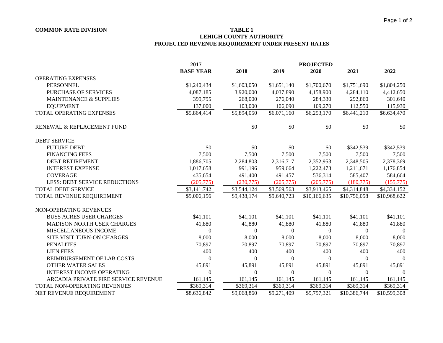### **COMMON RATE DIVISION TABLE 1**

## **LEHIGH COUNTY AUTHORITY PROJECTED REVENUE REQUIREMENT UNDER PRESENT RATES**

|                                      | 2017             | <b>PROJECTED</b> |             |              |              |                |  |
|--------------------------------------|------------------|------------------|-------------|--------------|--------------|----------------|--|
|                                      | <b>BASE YEAR</b> | 2018             | 2019        | 2020         | 2021         | 2022           |  |
| <b>OPERATING EXPENSES</b>            |                  |                  |             |              |              |                |  |
| <b>PERSONNEL</b>                     | \$1,240,434      | \$1,603,050      | \$1,651,140 | \$1,700,670  | \$1,751,690  | \$1,804,250    |  |
| PURCHASE OF SERVICES                 | 4,087,185        | 3,920,000        | 4,037,890   | 4,158,900    | 4,284,110    | 4,412,650      |  |
| <b>MAINTENANCE &amp; SUPPLIES</b>    | 399,795          | 268,000          | 276,040     | 284,330      | 292,860      | 301,640        |  |
| <b>EQUIPMENT</b>                     | 137,000          | 103,000          | 106,090     | 109,270      | 112,550      | 115,930        |  |
| TOTAL OPERATING EXPENSES             | \$5,864,414      | \$5,894,050      | \$6,071,160 | \$6,253,170  | \$6,441,210  | \$6,634,470    |  |
| RENEWAL & REPLACEMENT FUND           |                  | \$0              | \$0         | \$0          | \$0          | \$0            |  |
| <b>DEBT SERVICE</b>                  |                  |                  |             |              |              |                |  |
| <b>FUTURE DEBT</b>                   | \$0              | \$0              | \$0         | \$0          | \$342,539    | \$342,539      |  |
| <b>FINANCING FEES</b>                | 7,500            | 7,500            | 7,500       | 7,500        | 7,500        | 7,500          |  |
| <b>DEBT RETIREMENT</b>               | 1,886,705        | 2,284,803        | 2,316,717   | 2,352,953    | 2,348,505    | 2,378,369      |  |
| <b>INTEREST EXPENSE</b>              | 1,017,658        | 991,196          | 959,664     | 1,222,473    | 1,211,671    | 1,176,854      |  |
| <b>COVERAGE</b>                      | 435,654          | 491,400          | 491,457     | 536,314      | 585,407      | 584,664        |  |
| <b>LESS: DEBT SERVICE REDUCTIONS</b> | (205, 775)       | (230,775)        | (205,775)   | (205,775)    | (180, 775)   | (155, 775)     |  |
| TOTAL DEBT SERVICE                   | \$3,141,742      | \$3,544,124      | \$3,569,563 | \$3,913,465  | \$4,314,848  | \$4,334,152    |  |
| TOTAL REVENUE REQUIREMENT            | \$9,006,156      | \$9,438,174      | \$9,640,723 | \$10,166,635 | \$10,756,058 | \$10,968,622   |  |
| NON-OPERATING REVENUES               |                  |                  |             |              |              |                |  |
| <b>BUSS ACRES USER CHARGES</b>       | \$41,101         | \$41,101         | \$41,101    | \$41,101     | \$41,101     | \$41,101       |  |
| <b>MADISON NORTH USER CHARGES</b>    | 41,880           | 41,880           | 41,880      | 41,880       | 41,880       | 41,880         |  |
| MISCELLANEOUS INCOME                 | $\overline{0}$   | $\boldsymbol{0}$ | $\theta$    | $\theta$     | $\mathbf{0}$ | $\overline{0}$ |  |
| SITE VISIT TURN-ON CHARGES           | 8,000            | 8,000            | 8,000       | 8,000        | 8,000        | 8,000          |  |
| <b>PENALITES</b>                     | 70,897           | 70,897           | 70,897      | 70,897       | 70,897       | 70,897         |  |
| <b>LIEN FEES</b>                     | 400              | 400              | 400         | 400          | 400          | 400            |  |
| REIMBURSEMENT OF LAB COSTS           | $\overline{0}$   | $\mathbf{0}$     | $\Omega$    | $\Omega$     | $\mathbf{0}$ | $\Omega$       |  |
| <b>OTHER WATER SALES</b>             | 45,891           | 45,891           | 45,891      | 45,891       | 45,891       | 45,891         |  |
| <b>INTEREST INCOME OPERATING</b>     | $\overline{0}$   | $\mathbf{0}$     | $\theta$    | $\Omega$     | $\mathbf{0}$ | $\Omega$       |  |
| ARCADIA PRIVATE FIRE SERVICE REVENUE | 161,145          | 161,145          | 161,145     | 161,145      | 161,145      | 161,145        |  |
| TOTAL NON-OPERATING REVENUES         | \$369,314        | \$369,314        | \$369,314   | \$369,314    | \$369,314    | \$369,314      |  |
| NET REVENUE REQUIREMENT              | \$8,636,842      | \$9,068,860      | \$9,271,409 | \$9,797,321  | \$10,386,744 | \$10,599,308   |  |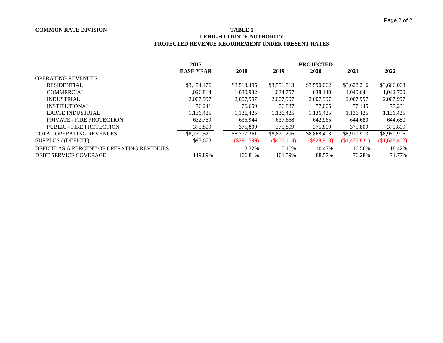### **COMMON RATE DIVISION TABLE 1**

# **LEHIGH COUNTY AUTHORITY PROJECTED REVENUE REQUIREMENT UNDER PRESENT RATES**

|                                            | 2017             | <b>PROJECTED</b> |               |               |               |              |
|--------------------------------------------|------------------|------------------|---------------|---------------|---------------|--------------|
|                                            | <b>BASE YEAR</b> | 2018             | 2019          | 2020          | 2021          | 2022         |
| <b>OPERATING REVENUES</b>                  |                  |                  |               |               |               |              |
| <b>RESIDENTIAL</b>                         | \$3,474,476      | \$3,513,495      | \$3,551,813   | \$3,590,062   | \$3,628,216   | \$3,666,063  |
| <b>COMMERCIAL</b>                          | 1,026,814        | 1,030,932        | 1,034,757     | 1,038,140     | 1.040.641     | 1,042,700    |
| <b>INDUSTRIAL</b>                          | 2,007,997        | 2.007.997        | 2,007,997     | 2,007,997     | 2.007.997     | 2,007,997    |
| <b>INSTITUTIONAL</b>                       | 76.241           | 76,659           | 76,837        | 77,005        | 77.145        | 77.231       |
| LARGE INDUSTRIAL                           | 1.136.425        | 1,136,425        | 1,136,425     | 1,136,425     | 1,136,425     | 1,136,425    |
| PRIVATE - FIRE PROTECTION                  | 632.759          | 635,944          | 637,658       | 642.965       | 644,680       | 644,680      |
| PUBLIC - FIRE PROTECTION                   | 375,809          | 375,809          | 375,809       | 375,809       | 375,809       | 375,809      |
| <b>TOTAL OPERATING REVENUES</b>            | \$8,730,521      | \$8,777,261      | \$8,821,296   | \$8,868,403   | \$8,910,913   | \$8,950,906  |
| SURPLUS / (DEFICIT)                        | \$93,678         | $(\$291,599)$    | $(\$450,114)$ | $(\$928,918)$ | (\$1,475,831) | \$1,648,402) |
| DEFICIT AS A PERCENT OF OPERATING REVENUES |                  | 3.32%            | 5.10%         | 10.47%        | 16.56%        | 18.42%       |
| DEBT SERVICE COVERAGE                      | 119.89%          | 106.81%          | 101.59%       | 88.57%        | 76.28%        | 71.77%       |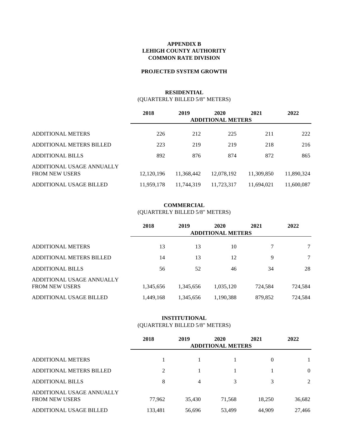#### **APPENDIX B LEHIGH COUNTY AUTHORITY COMMON RATE DIVISION**

#### **PROJECTED SYSTEM GROWTH**

#### **RESIDENTIAL** (QUARTERLY BILLED 5/8" METERS)

|                                                    | 2018       | 2019       | 2020                     | 2021       | 2022       |
|----------------------------------------------------|------------|------------|--------------------------|------------|------------|
|                                                    |            |            | <b>ADDITIONAL METERS</b> |            |            |
| <b>ADDITIONAL METERS</b>                           | 226        | 212        | 225                      | 211        | 222        |
| ADDITIONAL METERS BILLED                           | 223        | 219        | 219                      | 218        | 216        |
| <b>ADDITIONAL BILLS</b>                            | 892        | 876        | 874                      | 872        | 865        |
| ADDITIONAL USAGE ANNUALLY<br><b>FROM NEW USERS</b> | 12,120,196 | 11,368,442 | 12,078,192               | 11,309,850 | 11,890,324 |
| ADDITIONAL USAGE BILLED                            | 11,959,178 | 11,744,319 | 11,723,317               | 11,694,021 | 11,600,087 |

#### **COMMERCIAL** (QUARTERLY BILLED 5/8" METERS)

|                                                    | 2018      | 2019      | 2020<br><b>ADDITIONAL METERS</b> | 2021    | 2022    |
|----------------------------------------------------|-----------|-----------|----------------------------------|---------|---------|
| <b>ADDITIONAL METERS</b>                           | 13        | 13        | 10                               | 7       | 7       |
| ADDITIONAL METERS BILLED                           | 14        | 13        | 12                               | 9       | 7       |
| <b>ADDITIONAL BILLS</b>                            | 56        | 52        | 46                               | 34      | 28      |
| ADDITIONAL USAGE ANNUALLY<br><b>FROM NEW USERS</b> | 1,345,656 | 1,345,656 | 1,035,120                        | 724,584 | 724,584 |
| ADDITIONAL USAGE BILLED                            | 1,449,168 | 1,345,656 | 1,190,388                        | 879,852 | 724.584 |

#### **INSTITUTIONAL** (QUARTERLY BILLED 5/8" METERS)

|                                                    | 2018    | 2019           | 2020<br><b>ADDITIONAL METERS</b> | 2021     | 2022           |
|----------------------------------------------------|---------|----------------|----------------------------------|----------|----------------|
| <b>ADDITIONAL METERS</b>                           |         |                |                                  | $\theta$ |                |
| <b>ADDITIONAL METERS BILLED</b>                    | 2       |                |                                  |          | $\overline{0}$ |
| <b>ADDITIONAL BILLS</b>                            | 8       | $\overline{4}$ | 3                                | 3        | 2              |
| ADDITIONAL USAGE ANNUALLY<br><b>FROM NEW USERS</b> | 77,962  | 35,430         | 71,568                           | 18,250   | 36,682         |
| ADDITIONAL USAGE BILLED                            | 133.481 | 56.696         | 53,499                           | 44,909   | 27.466         |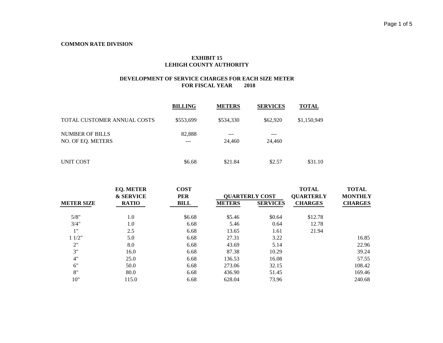### **EXHIBIT 15 LEHIGH COUNTY AUTHORITY**

|                                             | <b>BILLING</b> | <b>METERS</b> | <b>SERVICES</b> | <b>TOTAL</b> |
|---------------------------------------------|----------------|---------------|-----------------|--------------|
| TOTAL CUSTOMER ANNUAL COSTS                 | \$553,699      | \$534,330     | \$62,920        | \$1,150,949  |
| <b>NUMBER OF BILLS</b><br>NO. OF EO. METERS | 82,888<br>---  | ---<br>24,460 | ---<br>24,460   |              |
| UNIT COST                                   | \$6.68         | \$21.84       | \$2.57          | \$31.10      |

|                   | <b>EQ. METER</b><br><b>&amp; SERVICE</b> | <b>COST</b><br><b>PER</b> |               | <b>QUARTERLY COST</b> | <b>TOTAL</b><br><b>QUARTERLY</b> | <b>TOTAL</b><br><b>MONTHLY</b> |
|-------------------|------------------------------------------|---------------------------|---------------|-----------------------|----------------------------------|--------------------------------|
| <b>METER SIZE</b> | <b>RATIO</b>                             | <b>BILL</b>               | <b>METERS</b> | <b>SERVICES</b>       | <b>CHARGES</b>                   | <b>CHARGES</b>                 |
| 5/8"              | 1.0                                      | \$6.68                    | \$5.46        | \$0.64                | \$12.78                          |                                |
| 3/4"              | 1.0                                      | 6.68                      | 5.46          | 0.64                  | 12.78                            |                                |
| 1"                | 2.5                                      | 6.68                      | 13.65         | 1.61                  | 21.94                            |                                |
| 11/2"             | 5.0                                      | 6.68                      | 27.31         | 3.22                  |                                  | 16.85                          |
| 2"                | 8.0                                      | 6.68                      | 43.69         | 5.14                  |                                  | 22.96                          |
| 3"                | 16.0                                     | 6.68                      | 87.38         | 10.29                 |                                  | 39.24                          |
| 4"                | 25.0                                     | 6.68                      | 136.53        | 16.08                 |                                  | 57.55                          |
| 6"                | 50.0                                     | 6.68                      | 273.06        | 32.15                 |                                  | 108.42                         |
| 8"                | 80.0                                     | 6.68                      | 436.90        | 51.45                 |                                  | 169.46                         |
| 10"               | 115.0                                    | 6.68                      | 628.04        | 73.96                 |                                  | 240.68                         |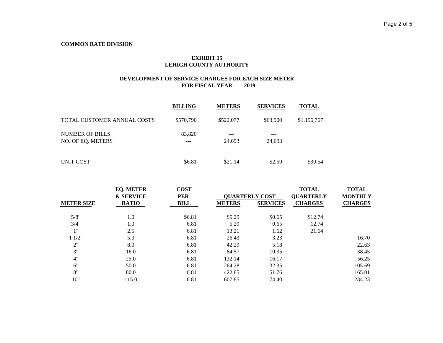### **EXHIBIT 15 LEHIGH COUNTY AUTHORITY**

|                                             | <b>BILLING</b> | <b>METERS</b>     | <b>SERVICES</b> | <b>TOTAL</b> |
|---------------------------------------------|----------------|-------------------|-----------------|--------------|
| TOTAL CUSTOMER ANNUAL COSTS                 | \$570,790      | \$522,077         | \$63,900        | \$1,156,767  |
| <b>NUMBER OF BILLS</b><br>NO. OF EQ. METERS | 83,820<br>---  | $- - -$<br>24.693 | ---<br>24,693   |              |
| UNIT COST                                   | \$6.81         | \$21.14           | \$2.59          | \$30.54      |

|                                   | <b>EQ. METER</b><br><b>&amp; SERVICE</b> | <b>COST</b><br><b>PER</b> |                 | <b>QUARTERLY COST</b> | <b>TOTAL</b><br><b>QUARTERLY</b> | <b>TOTAL</b><br><b>MONTHLY</b> |
|-----------------------------------|------------------------------------------|---------------------------|-----------------|-----------------------|----------------------------------|--------------------------------|
| <b>RATIO</b><br><b>METER SIZE</b> | <b>BILL</b>                              | <b>METERS</b>             | <b>SERVICES</b> | <b>CHARGES</b>        | <b>CHARGES</b>                   |                                |
| 5/8"                              | 1.0                                      | \$6.81                    | \$5.29          | \$0.65                | \$12.74                          |                                |
| 3/4"                              | 1.0                                      | 6.81                      | 5.29            | 0.65                  | 12.74                            |                                |
| 1"                                | 2.5                                      | 6.81                      | 13.21           | 1.62                  | 21.64                            |                                |
| 11/2"                             | 5.0                                      | 6.81                      | 26.43           | 3.23                  |                                  | 16.70                          |
| 2"                                | 8.0                                      | 6.81                      | 42.29           | 5.18                  |                                  | 22.63                          |
| 3"                                | 16.0                                     | 6.81                      | 84.57           | 10.35                 |                                  | 38.45                          |
| 4"                                | 25.0                                     | 6.81                      | 132.14          | 16.17                 |                                  | 56.25                          |
| 6"                                | 50.0                                     | 6.81                      | 264.28          | 32.35                 |                                  | 105.69                         |
| 8"                                | 80.0                                     | 6.81                      | 422.85          | 51.76                 |                                  | 165.01                         |
| 10"                               | 115.0                                    | 6.81                      | 607.85          | 74.40                 |                                  | 234.23                         |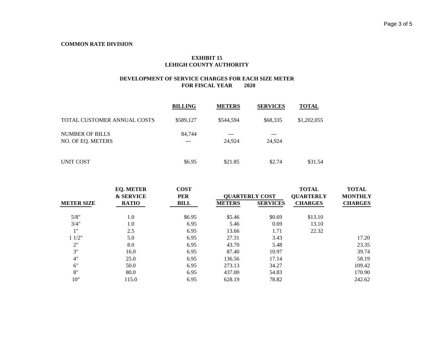### **EXHIBIT 15 LEHIGH COUNTY AUTHORITY**

|                                             | <b>BILLING</b> | <b>METERS</b>     | <b>SERVICES</b> | <b>TOTAL</b> |
|---------------------------------------------|----------------|-------------------|-----------------|--------------|
| TOTAL CUSTOMER ANNUAL COSTS                 | \$589.127      | \$544.594         | \$68,335        | \$1,202,055  |
| <b>NUMBER OF BILLS</b><br>NO. OF EQ. METERS | 84,744         | $- - -$<br>24.924 | ---<br>24,924   |              |
| UNIT COST                                   | \$6.95         | \$21.85           | \$2.74          | \$31.54      |

|                   | <b>EQ. METER</b><br><b>&amp; SERVICE</b> | <b>COST</b><br><b>PER</b> |               | <b>QUARTERLY COST</b> | <b>TOTAL</b><br><b>QUARTERLY</b> | <b>TOTAL</b><br><b>MONTHLY</b> |
|-------------------|------------------------------------------|---------------------------|---------------|-----------------------|----------------------------------|--------------------------------|
| <b>METER SIZE</b> | <b>RATIO</b>                             | <b>BILL</b>               | <b>METERS</b> | <b>SERVICES</b>       | <b>CHARGES</b>                   | <b>CHARGES</b>                 |
| 5/8"              | 1.0                                      | \$6.95                    | \$5.46        | \$0.69                | \$13.10                          |                                |
| 3/4"              | 1.0                                      | 6.95                      | 5.46          | 0.69                  | 13.10                            |                                |
| 1"                | 2.5                                      | 6.95                      | 13.66         | 1.71                  | 22.32                            |                                |
| 11/2"             | 5.0                                      | 6.95                      | 27.31         | 3.43                  |                                  | 17.20                          |
| 2"                | 8.0                                      | 6.95                      | 43.70         | 5.48                  |                                  | 23.35                          |
| 3"                | 16.0                                     | 6.95                      | 87.40         | 10.97                 |                                  | 39.74                          |
| 4"                | 25.0                                     | 6.95                      | 136.56        | 17.14                 |                                  | 58.19                          |
| 6"                | 50.0                                     | 6.95                      | 273.13        | 34.27                 |                                  | 109.42                         |
| 8"                | 80.0                                     | 6.95                      | 437.00        | 54.83                 |                                  | 170.90                         |
| 10"               | 115.0                                    | 6.95                      | 628.19        | 78.82                 |                                  | 242.62                         |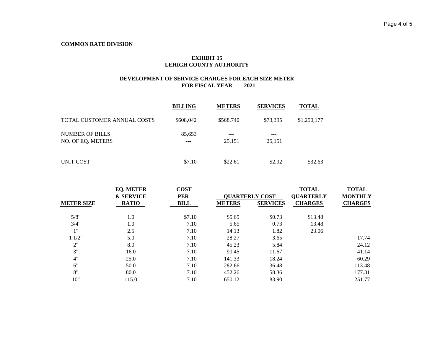### **EXHIBIT 15 LEHIGH COUNTY AUTHORITY**

|                                             | <b>BILLING</b> | <b>METERS</b>     | <b>SERVICES</b> | <b>TOTAL</b> |
|---------------------------------------------|----------------|-------------------|-----------------|--------------|
| TOTAL CUSTOMER ANNUAL COSTS                 | \$608,042      | \$568,740         | \$73.395        | \$1,250,177  |
| <b>NUMBER OF BILLS</b><br>NO. OF EQ. METERS | 85,653<br>---  | $- - -$<br>25,151 | ---<br>25,151   |              |
| UNIT COST                                   | \$7.10         | \$22.61           | \$2.92          | \$32.63      |

|                   | <b>EQ. METER</b><br><b>&amp; SERVICE</b> | <b>COST</b><br><b>PER</b> |               | <b>QUARTERLY COST</b> | <b>TOTAL</b><br><b>QUARTERLY</b> | <b>TOTAL</b><br><b>MONTHLY</b> |
|-------------------|------------------------------------------|---------------------------|---------------|-----------------------|----------------------------------|--------------------------------|
| <b>METER SIZE</b> | <b>RATIO</b>                             | <b>BILL</b>               | <b>METERS</b> | <b>SERVICES</b>       | <b>CHARGES</b>                   | <b>CHARGES</b>                 |
| 5/8"              | 1.0                                      | \$7.10                    | \$5.65        | \$0.73                | \$13.48                          |                                |
| 3/4"              | 1.0                                      | 7.10                      | 5.65          | 0.73                  | 13.48                            |                                |
| 1"                | 2.5                                      | 7.10                      | 14.13         | 1.82                  | 23.06                            |                                |
| 11/2"             | 5.0                                      | 7.10                      | 28.27         | 3.65                  |                                  | 17.74                          |
| 2"                | 8.0                                      | 7.10                      | 45.23         | 5.84                  |                                  | 24.12                          |
| 3"                | 16.0                                     | 7.10                      | 90.45         | 11.67                 |                                  | 41.14                          |
| 4"                | 25.0                                     | 7.10                      | 141.33        | 18.24                 |                                  | 60.29                          |
| 6"                | 50.0                                     | 7.10                      | 282.66        | 36.48                 |                                  | 113.48                         |
| 8"                | 80.0                                     | 7.10                      | 452.26        | 58.36                 |                                  | 177.31                         |
| 10"               | 115.0                                    | 7.10                      | 650.12        | 83.90                 |                                  | 251.77                         |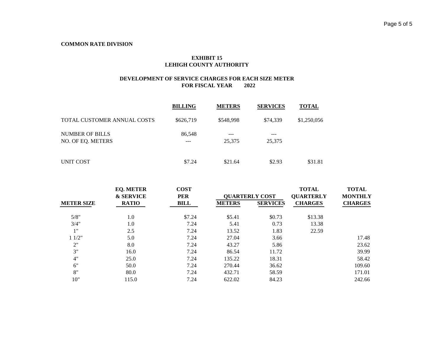### **EXHIBIT 15 LEHIGH COUNTY AUTHORITY**

|                                             | <b>BILLING</b> | <b>METERS</b> | <b>SERVICES</b> | <b>TOTAL</b> |
|---------------------------------------------|----------------|---------------|-----------------|--------------|
| TOTAL CUSTOMER ANNUAL COSTS                 | \$626,719      | \$548,998     | \$74,339        | \$1,250,056  |
| <b>NUMBER OF BILLS</b><br>NO. OF EO. METERS | 86,548         | ---<br>25,375 | ---<br>25,375   |              |
| UNIT COST                                   | \$7.24         | \$21.64       | \$2.93          | \$31.81      |

|                   | <b>EQ. METER</b><br><b>&amp; SERVICE</b> | <b>COST</b><br><b>PER</b> |               | <b>QUARTERLY COST</b> | <b>TOTAL</b><br><b>QUARTERLY</b> | <b>TOTAL</b><br><b>MONTHLY</b> |
|-------------------|------------------------------------------|---------------------------|---------------|-----------------------|----------------------------------|--------------------------------|
| <b>METER SIZE</b> | <b>RATIO</b>                             | <b>BILL</b>               | <b>METERS</b> | <b>SERVICES</b>       | <b>CHARGES</b>                   | <b>CHARGES</b>                 |
| 5/8"              | 1.0                                      | \$7.24                    | \$5.41        | \$0.73                | \$13.38                          |                                |
| 3/4"              | 1.0                                      | 7.24                      | 5.41          | 0.73                  | 13.38                            |                                |
| 1"                | 2.5                                      | 7.24                      | 13.52         | 1.83                  | 22.59                            |                                |
| 11/2"             | 5.0                                      | 7.24                      | 27.04         | 3.66                  |                                  | 17.48                          |
| 2"                | 8.0                                      | 7.24                      | 43.27         | 5.86                  |                                  | 23.62                          |
| 3"                | 16.0                                     | 7.24                      | 86.54         | 11.72                 |                                  | 39.99                          |
| 4"                | 25.0                                     | 7.24                      | 135.22        | 18.31                 |                                  | 58.42                          |
| 6"                | 50.0                                     | 7.24                      | 270.44        | 36.62                 |                                  | 109.60                         |
| 8"                | 80.0                                     | 7.24                      | 432.71        | 58.59                 |                                  | 171.01                         |
| 10"               | 115.0                                    | 7.24                      | 622.02        | 84.23                 |                                  | 242.66                         |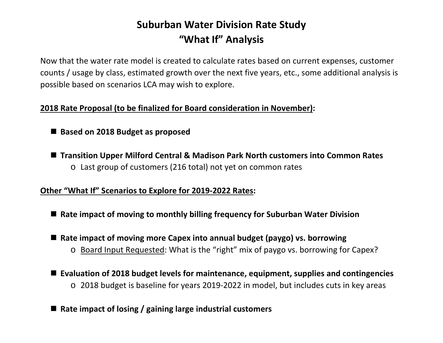# **Suburban Water Division Rate Study "What If" Analysis**

Now that the water rate model is created to calculate rates based on current expenses, customer counts / usage by class, estimated growth over the next five years, etc., some additional analysis is possible based on scenarios LCA may wish to explore.

# **2018 Rate Proposal (to be finalized for Board consideration in November):**

# ■ Based on 2018 Budget as proposed

 **Transition Upper Milford Central & Madison Park North customers into Common Rates** o Last group of customers (216 total) not yet on common rates

# **Other "What If" Scenarios to Explore for 2019-2022 Rates:**

- Rate impact of moving to monthly billing frequency for Suburban Water Division
- Rate impact of moving more Capex into annual budget (paygo) vs. borrowing
	- o Board Input Requested: What is the "right" mix of paygo vs. borrowing for Capex?
- **Evaluation of 2018 budget levels for maintenance, equipment, supplies and contingencies** o 2018 budget is baseline for years 2019-2022 in model, but includes cuts in key areas
- Rate impact of losing / gaining large industrial customers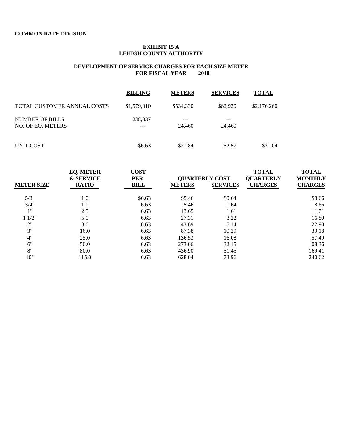#### **EXHIBIT 15 A LEHIGH COUNTY AUTHORITY**

|                                             | <b>BILLING</b> | <b>METERS</b> | <b>SERVICES</b> | <b>TOTAL</b> |
|---------------------------------------------|----------------|---------------|-----------------|--------------|
| TOTAL CUSTOMER ANNUAL COSTS                 | \$1,579,010    | \$534,330     | \$62,920        | \$2,176,260  |
| <b>NUMBER OF BILLS</b><br>NO. OF EQ. METERS | 238,337<br>--- | ---<br>24,460 | ---<br>24,460   |              |
| UNIT COST                                   | \$6.63         | \$21.84       | \$2.57          | \$31.04      |

|                   | <b>EQ. METER</b><br><b>&amp; SERVICE</b> | <b>COST</b><br><b>PER</b> |               | <b>QUARTERLY COST</b> | <b>TOTAL</b><br><b>QUARTERLY</b> | <b>TOTAL</b><br><b>MONTHLY</b> |
|-------------------|------------------------------------------|---------------------------|---------------|-----------------------|----------------------------------|--------------------------------|
| <b>METER SIZE</b> | <b>RATIO</b>                             | BILL                      | <b>METERS</b> | <b>SERVICES</b>       | <b>CHARGES</b>                   | <b>CHARGES</b>                 |
| 5/8"              | 1.0                                      | \$6.63                    | \$5.46        | \$0.64                |                                  | \$8.66                         |
| 3/4"              | 1.0                                      | 6.63                      | 5.46          | 0.64                  |                                  | 8.66                           |
| 1"                | 2.5                                      | 6.63                      | 13.65         | 1.61                  |                                  | 11.71                          |
| 11/2"             | 5.0                                      | 6.63                      | 27.31         | 3.22                  |                                  | 16.80                          |
| 2"                | 8.0                                      | 6.63                      | 43.69         | 5.14                  |                                  | 22.90                          |
| 3"                | 16.0                                     | 6.63                      | 87.38         | 10.29                 |                                  | 39.18                          |
| 4"                | 25.0                                     | 6.63                      | 136.53        | 16.08                 |                                  | 57.49                          |
| 6"                | 50.0                                     | 6.63                      | 273.06        | 32.15                 |                                  | 108.36                         |
| 8"                | 80.0                                     | 6.63                      | 436.90        | 51.45                 |                                  | 169.41                         |
| 10"               | 115.0                                    | 6.63                      | 628.04        | 73.96                 |                                  | 240.62                         |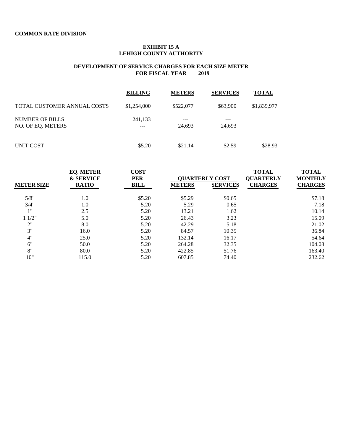#### **EXHIBIT 15 A LEHIGH COUNTY AUTHORITY**

|                                      | <b>BILLING</b> | <b>METERS</b> | <b>SERVICES</b> | <b>TOTAL</b> |
|--------------------------------------|----------------|---------------|-----------------|--------------|
| TOTAL CUSTOMER ANNUAL COSTS          | \$1,254,000    | \$522,077     | \$63,900        | \$1,839,977  |
| NUMBER OF BILLS<br>NO. OF EO. METERS | 241,133<br>--- | ---<br>24,693 | 24,693          |              |
| UNIT COST                            | \$5.20         | \$21.14       | \$2.59          | \$28.93      |

|                   | <b>EQ. METER</b><br><b>&amp; SERVICE</b> | <b>COST</b><br><b>PER</b> |               | <b>QUARTERLY COST</b> | <b>TOTAL</b><br><b>QUARTERLY</b> | <b>TOTAL</b><br><b>MONTHLY</b> |
|-------------------|------------------------------------------|---------------------------|---------------|-----------------------|----------------------------------|--------------------------------|
| <b>METER SIZE</b> | <b>RATIO</b>                             | BILL                      | <b>METERS</b> | <b>SERVICES</b>       | <b>CHARGES</b>                   | <b>CHARGES</b>                 |
| 5/8"              | 1.0                                      | \$5.20                    | \$5.29        | \$0.65                |                                  | \$7.18                         |
| 3/4"              | 1.0                                      | 5.20                      | 5.29          | 0.65                  |                                  | 7.18                           |
| 1"                | 2.5                                      | 5.20                      | 13.21         | 1.62                  |                                  | 10.14                          |
| 11/2"             | 5.0                                      | 5.20                      | 26.43         | 3.23                  |                                  | 15.09                          |
| 2"                | 8.0                                      | 5.20                      | 42.29         | 5.18                  |                                  | 21.02                          |
| 3"                | 16.0                                     | 5.20                      | 84.57         | 10.35                 |                                  | 36.84                          |
| 4"                | 25.0                                     | 5.20                      | 132.14        | 16.17                 |                                  | 54.64                          |
| 6"                | 50.0                                     | 5.20                      | 264.28        | 32.35                 |                                  | 104.08                         |
| 8"                | 80.0                                     | 5.20                      | 422.85        | 51.76                 |                                  | 163.40                         |
| 10"               | 115.0                                    | 5.20                      | 607.85        | 74.40                 |                                  | 232.62                         |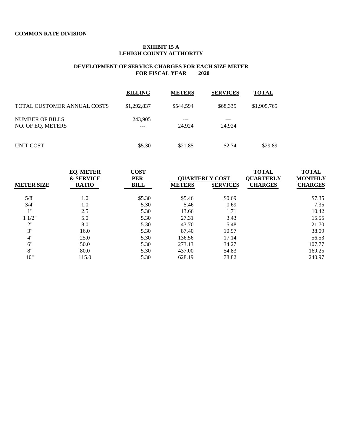#### **EXHIBIT 15 A LEHIGH COUNTY AUTHORITY**

|                                             | <b>BILLING</b> | <b>METERS</b> | <b>SERVICES</b> | <b>TOTAL</b> |
|---------------------------------------------|----------------|---------------|-----------------|--------------|
| TOTAL CUSTOMER ANNUAL COSTS                 | \$1,292,837    | \$544,594     | \$68,335        | \$1,905,765  |
| <b>NUMBER OF BILLS</b><br>NO. OF EO. METERS | 243,905<br>--- | ---<br>24,924 | 24.924          |              |
| UNIT COST                                   | \$5.30         | \$21.85       | \$2.74          | \$29.89      |

|                   | <b>EQ. METER</b><br><b>&amp; SERVICE</b> | <b>COST</b><br><b>PER</b> |               | <b>OUARTERLY COST</b> | <b>TOTAL</b><br><b>QUARTERLY</b> | <b>TOTAL</b><br><b>MONTHLY</b> |
|-------------------|------------------------------------------|---------------------------|---------------|-----------------------|----------------------------------|--------------------------------|
| <b>METER SIZE</b> | <b>RATIO</b>                             | <b>BILL</b>               | <b>METERS</b> | <b>SERVICES</b>       | <b>CHARGES</b>                   | <b>CHARGES</b>                 |
| 5/8"              | 1.0                                      | \$5.30                    | \$5.46        | \$0.69                |                                  | \$7.35                         |
| 3/4"              | 1.0                                      | 5.30                      | 5.46          | 0.69                  |                                  | 7.35                           |
| 1"                | 2.5                                      | 5.30                      | 13.66         | 1.71                  |                                  | 10.42                          |
| 11/2"             | 5.0                                      | 5.30                      | 27.31         | 3.43                  |                                  | 15.55                          |
| 2"                | 8.0                                      | 5.30                      | 43.70         | 5.48                  |                                  | 21.70                          |
| 3"                | 16.0                                     | 5.30                      | 87.40         | 10.97                 |                                  | 38.09                          |
| 4"                | 25.0                                     | 5.30                      | 136.56        | 17.14                 |                                  | 56.53                          |
| 6"                | 50.0                                     | 5.30                      | 273.13        | 34.27                 |                                  | 107.77                         |
| 8"                | 80.0                                     | 5.30                      | 437.00        | 54.83                 |                                  | 169.25                         |
| 10"               | 115.0                                    | 5.30                      | 628.19        | 78.82                 |                                  | 240.97                         |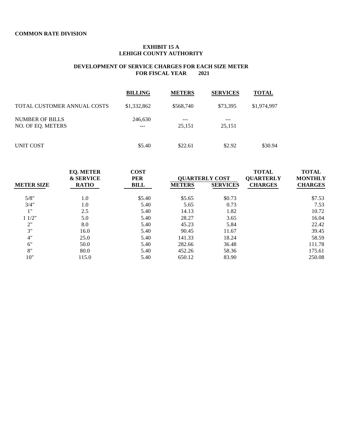#### **EXHIBIT 15 A LEHIGH COUNTY AUTHORITY**

|                                             | <b>BILLING</b> | <b>METERS</b> | <b>SERVICES</b> | <b>TOTAL</b> |
|---------------------------------------------|----------------|---------------|-----------------|--------------|
| TOTAL CUSTOMER ANNUAL COSTS                 | \$1,332,862    | \$568,740     | \$73,395        | \$1,974,997  |
| <b>NUMBER OF BILLS</b><br>NO. OF EQ. METERS | 246,630<br>--- | ---<br>25,151 | ---<br>25,151   |              |
| UNIT COST                                   | \$5.40         | \$22.61       | \$2.92          | \$30.94      |

|                   | <b>EQ. METER</b><br><b>&amp; SERVICE</b> | <b>COST</b><br><b>PER</b> |               | <b>OUARTERLY COST</b> | <b>TOTAL</b><br><b>QUARTERLY</b> | <b>TOTAL</b><br><b>MONTHLY</b> |
|-------------------|------------------------------------------|---------------------------|---------------|-----------------------|----------------------------------|--------------------------------|
| <b>METER SIZE</b> | <b>RATIO</b>                             | BILL                      | <b>METERS</b> | <b>SERVICES</b>       | <b>CHARGES</b>                   | <b>CHARGES</b>                 |
| 5/8"              | 1.0                                      | \$5.40                    | \$5.65        | \$0.73                |                                  | \$7.53                         |
| 3/4"              | 1.0                                      | 5.40                      | 5.65          | 0.73                  |                                  | 7.53                           |
| 1"                | 2.5                                      | 5.40                      | 14.13         | 1.82                  |                                  | 10.72                          |
| 11/2"             | 5.0                                      | 5.40                      | 28.27         | 3.65                  |                                  | 16.04                          |
| 2"                | 8.0                                      | 5.40                      | 45.23         | 5.84                  |                                  | 22.42                          |
| 3"                | 16.0                                     | 5.40                      | 90.45         | 11.67                 |                                  | 39.45                          |
| 4"                | 25.0                                     | 5.40                      | 141.33        | 18.24                 |                                  | 58.59                          |
| 6"                | 50.0                                     | 5.40                      | 282.66        | 36.48                 |                                  | 111.78                         |
| 8"                | 80.0                                     | 5.40                      | 452.26        | 58.36                 |                                  | 175.61                         |
| 10"               | 115.0                                    | 5.40                      | 650.12        | 83.90                 |                                  | 250.08                         |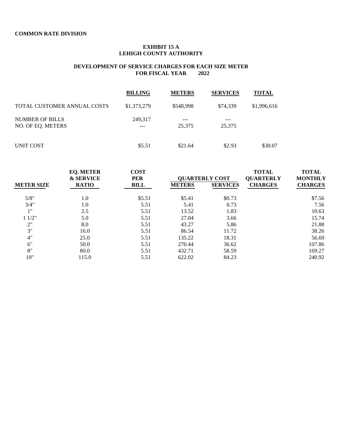#### **EXHIBIT 15 A LEHIGH COUNTY AUTHORITY**

|                                             | <b>BILLING</b> | <b>METERS</b> | <b>SERVICES</b> | <b>TOTAL</b> |
|---------------------------------------------|----------------|---------------|-----------------|--------------|
| TOTAL CUSTOMER ANNUAL COSTS                 | \$1,373,279    | \$548,998     | \$74,339        | \$1,996,616  |
| <b>NUMBER OF BILLS</b><br>NO. OF EQ. METERS | 249,317<br>--- | ---<br>25,375 | 25,375          |              |
| UNIT COST                                   | \$5.51         | \$21.64       | \$2.93          | \$30.07      |

|                   | <b>EQ. METER</b><br><b>&amp; SERVICE</b> | <b>COST</b><br><b>PER</b> | <b>QUARTERLY COST</b> |                 | <b>TOTAL</b><br><b>QUARTERLY</b> | <b>TOTAL</b><br><b>MONTHLY</b> |
|-------------------|------------------------------------------|---------------------------|-----------------------|-----------------|----------------------------------|--------------------------------|
| <b>METER SIZE</b> | <b>RATIO</b>                             | <b>BILL</b>               | <b>METERS</b>         | <b>SERVICES</b> | <b>CHARGES</b>                   | <b>CHARGES</b>                 |
| 5/8"              | 1.0                                      | \$5.51                    | \$5.41                | \$0.73          |                                  | \$7.56                         |
| 3/4"              | 1.0                                      | 5.51                      | 5.41                  | 0.73            |                                  | 7.56                           |
| 1"                | 2.5                                      | 5.51                      | 13.52                 | 1.83            |                                  | 10.63                          |
| 11/2"             | 5.0                                      | 5.51                      | 27.04                 | 3.66            |                                  | 15.74                          |
| 2"                | 8.0                                      | 5.51                      | 43.27                 | 5.86            |                                  | 21.88                          |
| 3"                | 16.0                                     | 5.51                      | 86.54                 | 11.72           |                                  | 38.26                          |
| 4"                | 25.0                                     | 5.51                      | 135.22                | 18.31           |                                  | 56.69                          |
| 6"                | 50.0                                     | 5.51                      | 270.44                | 36.62           |                                  | 107.86                         |
| 8"                | 80.0                                     | 5.51                      | 432.71                | 58.59           |                                  | 169.27                         |
| 10"               | 115.0                                    | 5.51                      | 622.02                | 84.23           |                                  | 240.92                         |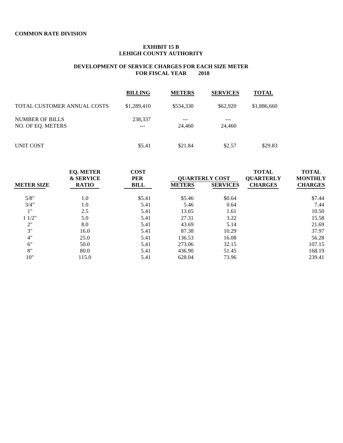#### **EXHIBIT 15 B LEHIGH COUNTY AUTHORITY**

|                                      | <b>BILLING</b> | <b>METERS</b> | <b>SERVICES</b> | <b>TOTAL</b> |
|--------------------------------------|----------------|---------------|-----------------|--------------|
| TOTAL CUSTOMER ANNUAL COSTS          | \$1,289,410    | \$534,330     | \$62,920        | \$1,886,660  |
| NUMBER OF BILLS<br>NO. OF EQ. METERS | 238,337<br>--- | ---<br>24,460 | 24,460          |              |
| UNIT COST                            | \$5.41         | \$21.84       | \$2.57          | \$29.83      |

|                   | <b>EQ. METER</b><br><b>&amp; SERVICE</b> | <b>COST</b><br><b>PER</b> | <b>OUARTERLY COST</b> |                 | <b>TOTAL</b><br><b>QUARTERLY</b> | <b>TOTAL</b><br><b>MONTHLY</b> |
|-------------------|------------------------------------------|---------------------------|-----------------------|-----------------|----------------------------------|--------------------------------|
| <b>METER SIZE</b> | <b>RATIO</b>                             | <b>BILL</b>               | <b>METERS</b>         | <b>SERVICES</b> | <b>CHARGES</b>                   | <b>CHARGES</b>                 |
| 5/8"              | 1.0                                      | \$5.41                    | \$5.46                | \$0.64          |                                  | \$7.44                         |
| 3/4"              | 1.0                                      | 5.41                      | 5.46                  | 0.64            |                                  | 7.44                           |
| 1"                | 2.5                                      | 5.41                      | 13.65                 | 1.61            |                                  | 10.50                          |
| 11/2"             | 5.0                                      | 5.41                      | 27.31                 | 3.22            |                                  | 15.58                          |
| 2"                | 8.0                                      | 5.41                      | 43.69                 | 5.14            |                                  | 21.69                          |
| 3"                | 16.0                                     | 5.41                      | 87.38                 | 10.29           |                                  | 37.97                          |
| 4"                | 25.0                                     | 5.41                      | 136.53                | 16.08           |                                  | 56.28                          |
| 6"                | 50.0                                     | 5.41                      | 273.06                | 32.15           |                                  | 107.15                         |
| 8"                | 80.0                                     | 5.41                      | 436.90                | 51.45           |                                  | 168.19                         |
| 10"               | 115.0                                    | 5.41                      | 628.04                | 73.96           |                                  | 239.41                         |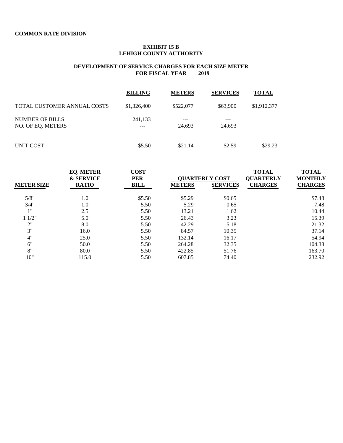#### **EXHIBIT 15 B LEHIGH COUNTY AUTHORITY**

|                                             | <b>BILLING</b> | <b>METERS</b> | <b>SERVICES</b> | <b>TOTAL</b> |
|---------------------------------------------|----------------|---------------|-----------------|--------------|
| TOTAL CUSTOMER ANNUAL COSTS                 | \$1,326,400    | \$522,077     | \$63,900        | \$1,912,377  |
| <b>NUMBER OF BILLS</b><br>NO. OF EO. METERS | 241,133<br>--- | ---<br>24.693 | 24.693          |              |
| UNIT COST                                   | \$5.50         | \$21.14       | \$2.59          | \$29.23      |

|                   | <b>EQ. METER</b><br><b>&amp; SERVICE</b> | <b>COST</b><br><b>PER</b> | <b>QUARTERLY COST</b> |                 | <b>TOTAL</b><br><b>QUARTERLY</b> | <b>TOTAL</b><br><b>MONTHLY</b> |
|-------------------|------------------------------------------|---------------------------|-----------------------|-----------------|----------------------------------|--------------------------------|
| <b>METER SIZE</b> | <b>RATIO</b>                             | BILL                      | <b>METERS</b>         | <b>SERVICES</b> | <b>CHARGES</b>                   | <b>CHARGES</b>                 |
| 5/8"              | 1.0                                      | \$5.50                    | \$5.29                | \$0.65          |                                  | \$7.48                         |
| 3/4"              | 1.0                                      | 5.50                      | 5.29                  | 0.65            |                                  | 7.48                           |
| 1"                | 2.5                                      | 5.50                      | 13.21                 | 1.62            |                                  | 10.44                          |
| 11/2"             | 5.0                                      | 5.50                      | 26.43                 | 3.23            |                                  | 15.39                          |
| 2"                | 8.0                                      | 5.50                      | 42.29                 | 5.18            |                                  | 21.32                          |
| 3"                | 16.0                                     | 5.50                      | 84.57                 | 10.35           |                                  | 37.14                          |
| 4"                | 25.0                                     | 5.50                      | 132.14                | 16.17           |                                  | 54.94                          |
| 6"                | 50.0                                     | 5.50                      | 264.28                | 32.35           |                                  | 104.38                         |
| 8"                | 80.0                                     | 5.50                      | 422.85                | 51.76           |                                  | 163.70                         |
| 10"               | 115.0                                    | 5.50                      | 607.85                | 74.40           |                                  | 232.92                         |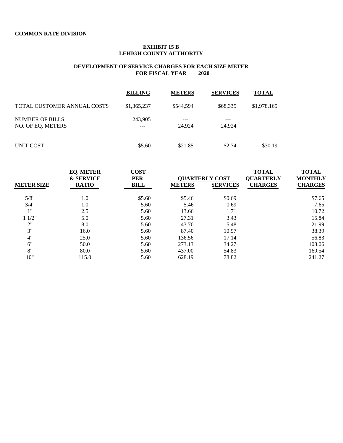#### **EXHIBIT 15 B LEHIGH COUNTY AUTHORITY**

|                                             | <b>BILLING</b> | <b>METERS</b> | <b>SERVICES</b> | <b>TOTAL</b> |
|---------------------------------------------|----------------|---------------|-----------------|--------------|
| TOTAL CUSTOMER ANNUAL COSTS                 | \$1,365,237    | \$544,594     | \$68,335        | \$1,978,165  |
| <b>NUMBER OF BILLS</b><br>NO. OF EO. METERS | 243,905<br>--- | ---<br>24.924 | 24.924          |              |
| UNIT COST                                   | \$5.60         | \$21.85       | \$2.74          | \$30.19      |

|                   | <b>EQ. METER</b><br><b>&amp; SERVICE</b> | <b>COST</b><br><b>PER</b> | <b>QUARTERLY COST</b> |                 | <b>TOTAL</b><br><b>QUARTERLY</b> | <b>TOTAL</b><br><b>MONTHLY</b> |
|-------------------|------------------------------------------|---------------------------|-----------------------|-----------------|----------------------------------|--------------------------------|
| <b>METER SIZE</b> | <b>RATIO</b>                             | BILL                      | <b>METERS</b>         | <b>SERVICES</b> | <b>CHARGES</b>                   | <b>CHARGES</b>                 |
| 5/8"              | 1.0                                      | \$5.60                    | \$5.46                | \$0.69          |                                  | \$7.65                         |
| 3/4"              | 1.0                                      | 5.60                      | 5.46                  | 0.69            |                                  | 7.65                           |
| 1"                | 2.5                                      | 5.60                      | 13.66                 | 1.71            |                                  | 10.72                          |
| 11/2"             | 5.0                                      | 5.60                      | 27.31                 | 3.43            |                                  | 15.84                          |
| 2"                | 8.0                                      | 5.60                      | 43.70                 | 5.48            |                                  | 21.99                          |
| 3"                | 16.0                                     | 5.60                      | 87.40                 | 10.97           |                                  | 38.39                          |
| 4"                | 25.0                                     | 5.60                      | 136.56                | 17.14           |                                  | 56.83                          |
| 6"                | 50.0                                     | 5.60                      | 273.13                | 34.27           |                                  | 108.06                         |
| 8"                | 80.0                                     | 5.60                      | 437.00                | 54.83           |                                  | 169.54                         |
| 10"               | 115.0                                    | 5.60                      | 628.19                | 78.82           |                                  | 241.27                         |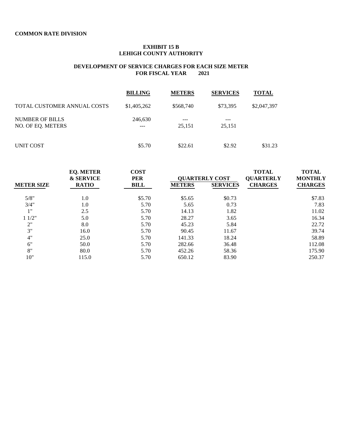#### **EXHIBIT 15 B LEHIGH COUNTY AUTHORITY**

|                                             | <b>BILLING</b> | <b>METERS</b> | <b>SERVICES</b> | <b>TOTAL</b> |
|---------------------------------------------|----------------|---------------|-----------------|--------------|
| TOTAL CUSTOMER ANNUAL COSTS                 | \$1,405,262    | \$568,740     | \$73,395        | \$2,047,397  |
| <b>NUMBER OF BILLS</b><br>NO. OF EO. METERS | 246,630<br>--- | ---<br>25.151 | 25,151          |              |
| UNIT COST                                   | \$5.70         | \$22.61       | \$2.92          | \$31.23      |

|                   | <b>EQ. METER</b><br><b>&amp; SERVICE</b> | <b>COST</b><br><b>PER</b> | <b>OUARTERLY COST</b> |                 | <b>TOTAL</b><br><b>QUARTERLY</b> | <b>TOTAL</b><br><b>MONTHLY</b> |
|-------------------|------------------------------------------|---------------------------|-----------------------|-----------------|----------------------------------|--------------------------------|
| <b>METER SIZE</b> | <b>RATIO</b>                             | <b>BILL</b>               | <b>METERS</b>         | <b>SERVICES</b> | <b>CHARGES</b>                   | <b>CHARGES</b>                 |
| 5/8"              | 1.0                                      | \$5.70                    | \$5.65                | \$0.73          |                                  | \$7.83                         |
| 3/4"              | 1.0                                      | 5.70                      | 5.65                  | 0.73            |                                  | 7.83                           |
| 1"                | 2.5                                      | 5.70                      | 14.13                 | 1.82            |                                  | 11.02                          |
| 11/2"             | 5.0                                      | 5.70                      | 28.27                 | 3.65            |                                  | 16.34                          |
| 2"                | 8.0                                      | 5.70                      | 45.23                 | 5.84            |                                  | 22.72                          |
| 3"                | 16.0                                     | 5.70                      | 90.45                 | 11.67           |                                  | 39.74                          |
| 4"                | 25.0                                     | 5.70                      | 141.33                | 18.24           |                                  | 58.89                          |
| 6"                | 50.0                                     | 5.70                      | 282.66                | 36.48           |                                  | 112.08                         |
| 8"                | 80.0                                     | 5.70                      | 452.26                | 58.36           |                                  | 175.90                         |
| 10"               | 115.0                                    | 5.70                      | 650.12                | 83.90           |                                  | 250.37                         |